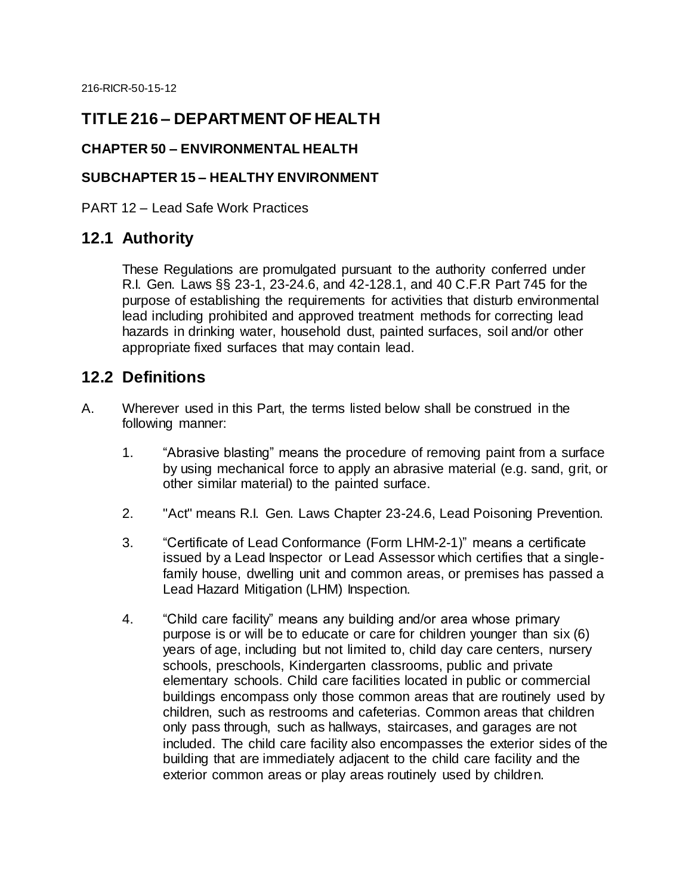## **TITLE 216 – DEPARTMENT OF HEALTH**

#### **CHAPTER 50 – ENVIRONMENTAL HEALTH**

#### **SUBCHAPTER 15 – HEALTHY ENVIRONMENT**

PART 12 – Lead Safe Work Practices

### **12.1 Authority**

These Regulations are promulgated pursuant to the authority conferred under R.I. Gen. Laws §§ 23-1, 23-24.6, and 42-128.1, and 40 C.F.R Part 745 for the purpose of establishing the requirements for activities that disturb environmental lead including prohibited and approved treatment methods for correcting lead hazards in drinking water, household dust, painted surfaces, soil and/or other appropriate fixed surfaces that may contain lead.

### **12.2 Definitions**

- A. Wherever used in this Part, the terms listed below shall be construed in the following manner:
	- 1. "Abrasive blasting" means the procedure of removing paint from a surface by using mechanical force to apply an abrasive material (e.g. sand, grit, or other similar material) to the painted surface.
	- 2. "Act" means R.I. Gen. Laws Chapter 23-24.6, Lead Poisoning Prevention.
	- 3. "Certificate of Lead Conformance (Form LHM-2-1)" means a certificate issued by a Lead Inspector or Lead Assessor which certifies that a singlefamily house, dwelling unit and common areas, or premises has passed a Lead Hazard Mitigation (LHM) Inspection.
	- 4. "Child care facility" means any building and/or area whose primary purpose is or will be to educate or care for children younger than six (6) years of age, including but not limited to, child day care centers, nursery schools, preschools, Kindergarten classrooms, public and private elementary schools. Child care facilities located in public or commercial buildings encompass only those common areas that are routinely used by children, such as restrooms and cafeterias. Common areas that children only pass through, such as hallways, staircases, and garages are not included. The child care facility also encompasses the exterior sides of the building that are immediately adjacent to the child care facility and the exterior common areas or play areas routinely used by children.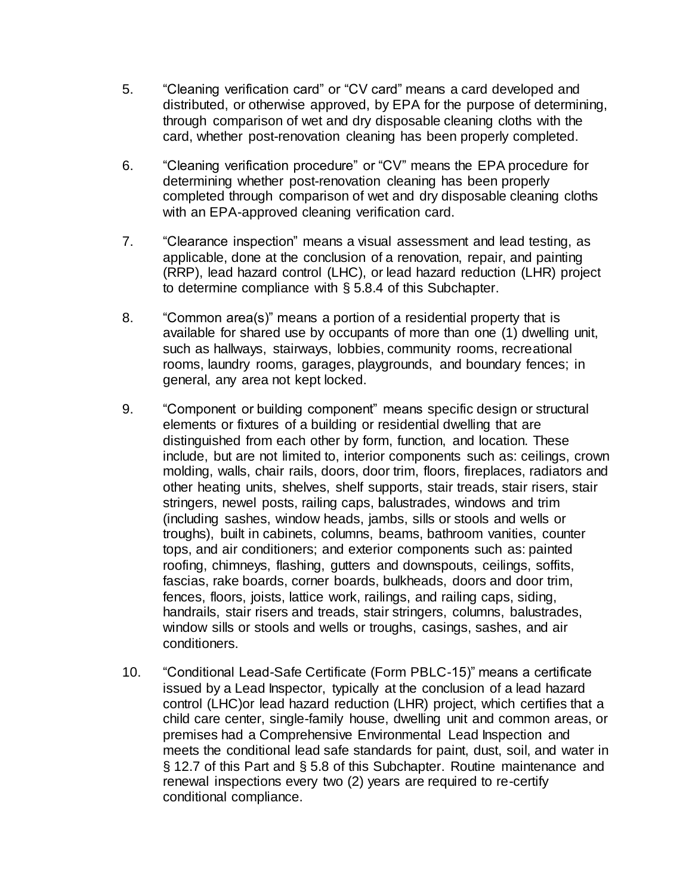- 5. "Cleaning verification card" or "CV card" means a card developed and distributed, or otherwise approved, by EPA for the purpose of determining, through comparison of wet and dry disposable cleaning cloths with the card, whether post-renovation cleaning has been properly completed.
- 6. "Cleaning verification procedure" or "CV" means the EPA procedure for determining whether post-renovation cleaning has been properly completed through comparison of wet and dry disposable cleaning cloths with an EPA-approved cleaning verification card.
- 7. "Clearance inspection" means a visual assessment and lead testing, as applicable, done at the conclusion of a renovation, repair, and painting (RRP), lead hazard control (LHC), or lead hazard reduction (LHR) project to determine compliance with § 5.8.4 of this Subchapter.
- 8. "Common area(s)" means a portion of a residential property that is available for shared use by occupants of more than one (1) dwelling unit, such as hallways, stairways, lobbies, community rooms, recreational rooms, laundry rooms, garages, playgrounds, and boundary fences; in general, any area not kept locked.
- 9. "Component or building component" means specific design or structural elements or fixtures of a building or residential dwelling that are distinguished from each other by form, function, and location. These include, but are not limited to, interior components such as: ceilings, crown molding, walls, chair rails, doors, door trim, floors, fireplaces, radiators and other heating units, shelves, shelf supports, stair treads, stair risers, stair stringers, newel posts, railing caps, balustrades, windows and trim (including sashes, window heads, jambs, sills or stools and wells or troughs), built in cabinets, columns, beams, bathroom vanities, counter tops, and air conditioners; and exterior components such as: painted roofing, chimneys, flashing, gutters and downspouts, ceilings, soffits, fascias, rake boards, corner boards, bulkheads, doors and door trim, fences, floors, joists, lattice work, railings, and railing caps, siding, handrails, stair risers and treads, stair stringers, columns, balustrades, window sills or stools and wells or troughs, casings, sashes, and air conditioners.
- 10. "Conditional Lead-Safe Certificate (Form PBLC-15)" means a certificate issued by a Lead Inspector, typically at the conclusion of a lead hazard control (LHC)or lead hazard reduction (LHR) project, which certifies that a child care center, single-family house, dwelling unit and common areas, or premises had a Comprehensive Environmental Lead Inspection and meets the conditional lead safe standards for paint, dust, soil, and water in § 12.7 of this Part and § 5.8 of this Subchapter. Routine maintenance and renewal inspections every two (2) years are required to re-certify conditional compliance.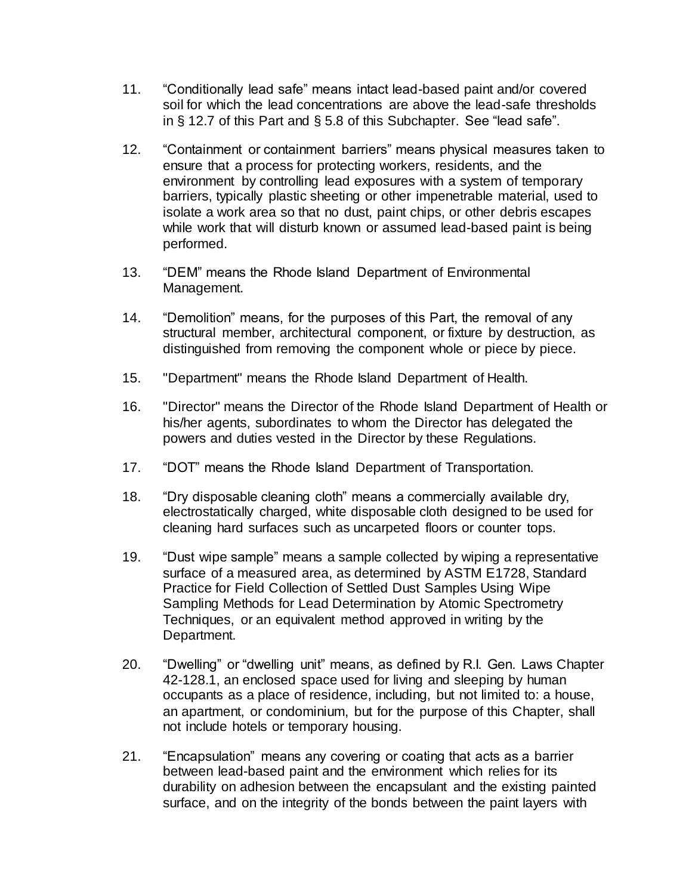- 11. "Conditionally lead safe" means intact lead-based paint and/or covered soil for which the lead concentrations are above the lead-safe thresholds in § 12.7 of this Part and § 5.8 of this Subchapter. See "lead safe".
- 12. "Containment or containment barriers" means physical measures taken to ensure that a process for protecting workers, residents, and the environment by controlling lead exposures with a system of temporary barriers, typically plastic sheeting or other impenetrable material, used to isolate a work area so that no dust, paint chips, or other debris escapes while work that will disturb known or assumed lead-based paint is being performed.
- 13. "DEM" means the Rhode Island Department of Environmental Management.
- 14. "Demolition" means, for the purposes of this Part, the removal of any structural member, architectural component, or fixture by destruction, as distinguished from removing the component whole or piece by piece.
- 15. "Department" means the Rhode Island Department of Health.
- 16. "Director" means the Director of the Rhode Island Department of Health or his/her agents, subordinates to whom the Director has delegated the powers and duties vested in the Director by these Regulations.
- 17. "DOT" means the Rhode Island Department of Transportation.
- 18. "Dry disposable cleaning cloth" means a commercially available dry, electrostatically charged, white disposable cloth designed to be used for cleaning hard surfaces such as uncarpeted floors or counter tops.
- 19. "Dust wipe sample" means a sample collected by wiping a representative surface of a measured area, as determined by ASTM E1728, Standard Practice for Field Collection of Settled Dust Samples Using Wipe Sampling Methods for Lead Determination by Atomic Spectrometry Techniques, or an equivalent method approved in writing by the Department.
- 20. "Dwelling" or "dwelling unit" means, as defined by R.I. Gen. Laws Chapter 42-128.1, an enclosed space used for living and sleeping by human occupants as a place of residence, including, but not limited to: a house, an apartment, or condominium, but for the purpose of this Chapter, shall not include hotels or temporary housing.
- 21. "Encapsulation" means any covering or coating that acts as a barrier between lead-based paint and the environment which relies for its durability on adhesion between the encapsulant and the existing painted surface, and on the integrity of the bonds between the paint layers with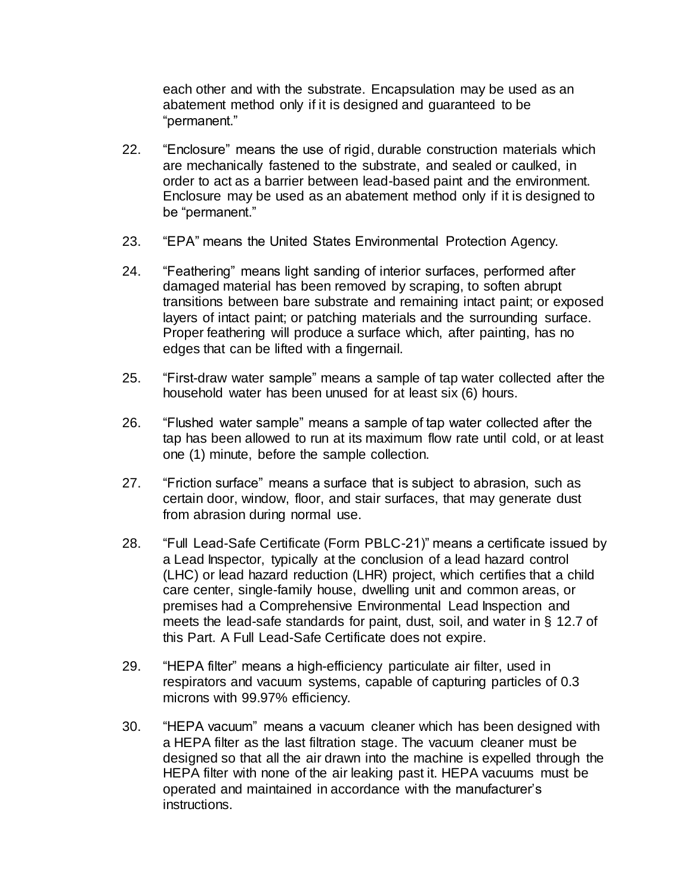each other and with the substrate. Encapsulation may be used as an abatement method only if it is designed and guaranteed to be "permanent."

- 22. "Enclosure" means the use of rigid, durable construction materials which are mechanically fastened to the substrate, and sealed or caulked, in order to act as a barrier between lead-based paint and the environment. Enclosure may be used as an abatement method only if it is designed to be "permanent."
- 23. "EPA" means the United States Environmental Protection Agency.
- 24. "Feathering" means light sanding of interior surfaces, performed after damaged material has been removed by scraping, to soften abrupt transitions between bare substrate and remaining intact paint; or exposed layers of intact paint; or patching materials and the surrounding surface. Proper feathering will produce a surface which, after painting, has no edges that can be lifted with a fingernail.
- 25. "First-draw water sample" means a sample of tap water collected after the household water has been unused for at least six (6) hours.
- 26. "Flushed water sample" means a sample of tap water collected after the tap has been allowed to run at its maximum flow rate until cold, or at least one (1) minute, before the sample collection.
- 27. "Friction surface" means a surface that is subject to abrasion, such as certain door, window, floor, and stair surfaces, that may generate dust from abrasion during normal use.
- 28. "Full Lead-Safe Certificate (Form PBLC-21)" means a certificate issued by a Lead Inspector, typically at the conclusion of a lead hazard control (LHC) or lead hazard reduction (LHR) project, which certifies that a child care center, single-family house, dwelling unit and common areas, or premises had a Comprehensive Environmental Lead Inspection and meets the lead-safe standards for paint, dust, soil, and water in § 12.7 of this Part. A Full Lead-Safe Certificate does not expire.
- 29. "HEPA filter" means a high-efficiency particulate air filter, used in respirators and vacuum systems, capable of capturing particles of 0.3 microns with 99.97% efficiency.
- 30. "HEPA vacuum" means a vacuum cleaner which has been designed with a HEPA filter as the last filtration stage. The vacuum cleaner must be designed so that all the air drawn into the machine is expelled through the HEPA filter with none of the air leaking past it. HEPA vacuums must be operated and maintained in accordance with the manufacturer's instructions.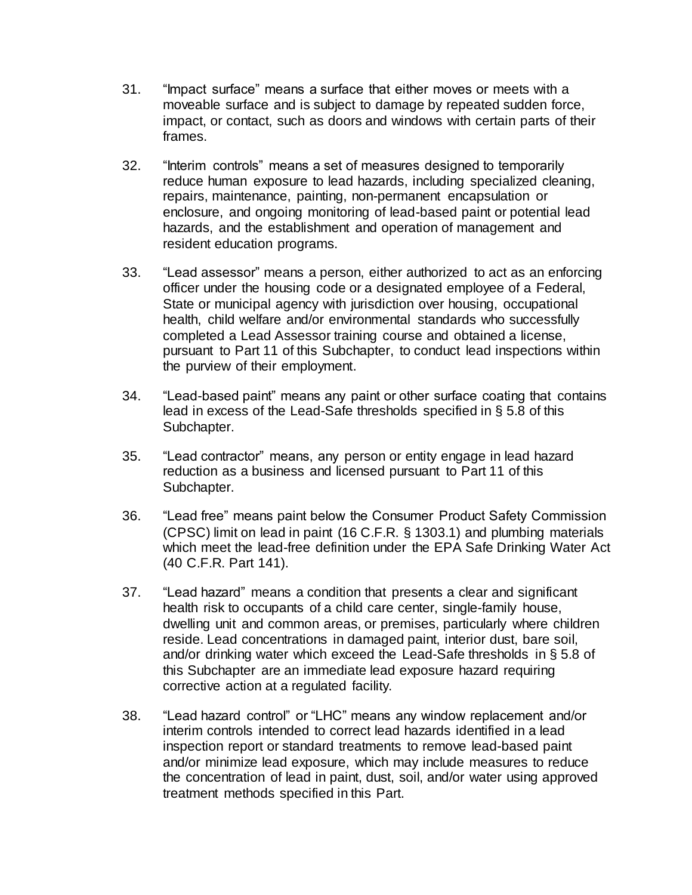- 31. "Impact surface" means a surface that either moves or meets with a moveable surface and is subject to damage by repeated sudden force, impact, or contact, such as doors and windows with certain parts of their frames.
- 32. "Interim controls" means a set of measures designed to temporarily reduce human exposure to lead hazards, including specialized cleaning, repairs, maintenance, painting, non-permanent encapsulation or enclosure, and ongoing monitoring of lead-based paint or potential lead hazards, and the establishment and operation of management and resident education programs.
- 33. "Lead assessor" means a person, either authorized to act as an enforcing officer under the housing code or a designated employee of a Federal, State or municipal agency with jurisdiction over housing, occupational health, child welfare and/or environmental standards who successfully completed a Lead Assessor training course and obtained a license, pursuant to Part 11 of this Subchapter, to conduct lead inspections within the purview of their employment.
- 34. "Lead-based paint" means any paint or other surface coating that contains lead in excess of the Lead-Safe thresholds specified in § 5.8 of this Subchapter.
- 35. "Lead contractor" means, any person or entity engage in lead hazard reduction as a business and licensed pursuant to Part 11 of this Subchapter.
- 36. "Lead free" means paint below the Consumer Product Safety Commission (CPSC) limit on lead in paint (16 C.F.R. § 1303.1) and plumbing materials which meet the lead-free definition under the EPA Safe Drinking Water Act (40 C.F.R. Part 141).
- 37. "Lead hazard" means a condition that presents a clear and significant health risk to occupants of a child care center, single-family house, dwelling unit and common areas, or premises, particularly where children reside. Lead concentrations in damaged paint, interior dust, bare soil, and/or drinking water which exceed the Lead-Safe thresholds in § 5.8 of this Subchapter are an immediate lead exposure hazard requiring corrective action at a regulated facility.
- 38. "Lead hazard control" or "LHC" means any window replacement and/or interim controls intended to correct lead hazards identified in a lead inspection report or standard treatments to remove lead-based paint and/or minimize lead exposure, which may include measures to reduce the concentration of lead in paint, dust, soil, and/or water using approved treatment methods specified in this Part.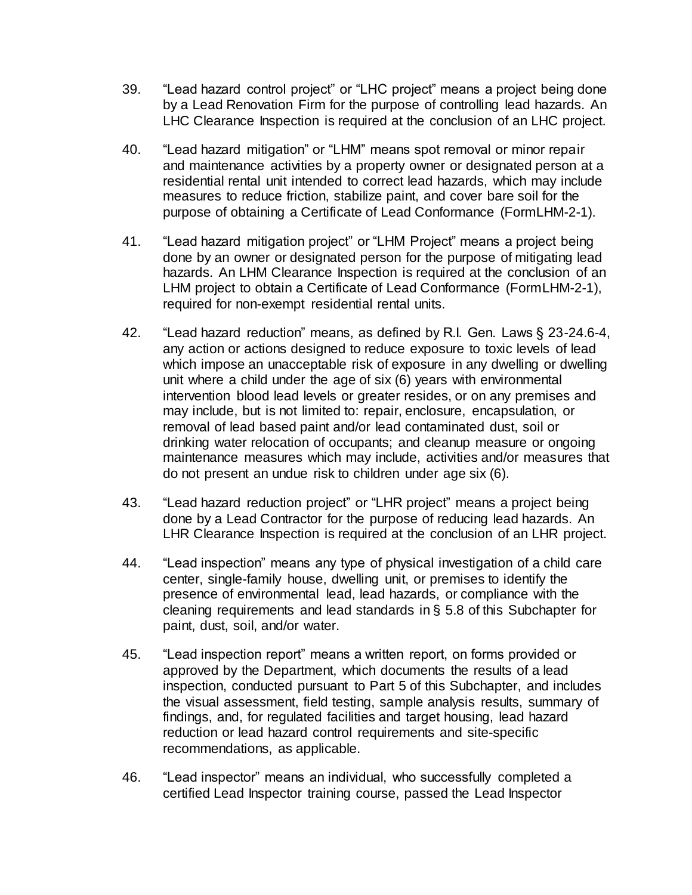- 39. "Lead hazard control project" or "LHC project" means a project being done by a Lead Renovation Firm for the purpose of controlling lead hazards. An LHC Clearance Inspection is required at the conclusion of an LHC project.
- 40. "Lead hazard mitigation" or "LHM" means spot removal or minor repair and maintenance activities by a property owner or designated person at a residential rental unit intended to correct lead hazards, which may include measures to reduce friction, stabilize paint, and cover bare soil for the purpose of obtaining a Certificate of Lead Conformance (FormLHM-2-1).
- 41. "Lead hazard mitigation project" or "LHM Project" means a project being done by an owner or designated person for the purpose of mitigating lead hazards. An LHM Clearance Inspection is required at the conclusion of an LHM project to obtain a Certificate of Lead Conformance (FormLHM-2-1), required for non-exempt residential rental units.
- 42. "Lead hazard reduction" means, as defined by R.I. Gen. Laws § 23-24.6-4, any action or actions designed to reduce exposure to toxic levels of lead which impose an unacceptable risk of exposure in any dwelling or dwelling unit where a child under the age of six (6) years with environmental intervention blood lead levels or greater resides, or on any premises and may include, but is not limited to: repair, enclosure, encapsulation, or removal of lead based paint and/or lead contaminated dust, soil or drinking water relocation of occupants; and cleanup measure or ongoing maintenance measures which may include, activities and/or measures that do not present an undue risk to children under age six (6).
- 43. "Lead hazard reduction project" or "LHR project" means a project being done by a Lead Contractor for the purpose of reducing lead hazards. An LHR Clearance Inspection is required at the conclusion of an LHR project.
- 44. "Lead inspection" means any type of physical investigation of a child care center, single-family house, dwelling unit, or premises to identify the presence of environmental lead, lead hazards, or compliance with the cleaning requirements and lead standards in § 5.8 of this Subchapter for paint, dust, soil, and/or water.
- 45. "Lead inspection report" means a written report, on forms provided or approved by the Department, which documents the results of a lead inspection, conducted pursuant to Part 5 of this Subchapter, and includes the visual assessment, field testing, sample analysis results, summary of findings, and, for regulated facilities and target housing, lead hazard reduction or lead hazard control requirements and site-specific recommendations, as applicable.
- 46. "Lead inspector" means an individual, who successfully completed a certified Lead Inspector training course, passed the Lead Inspector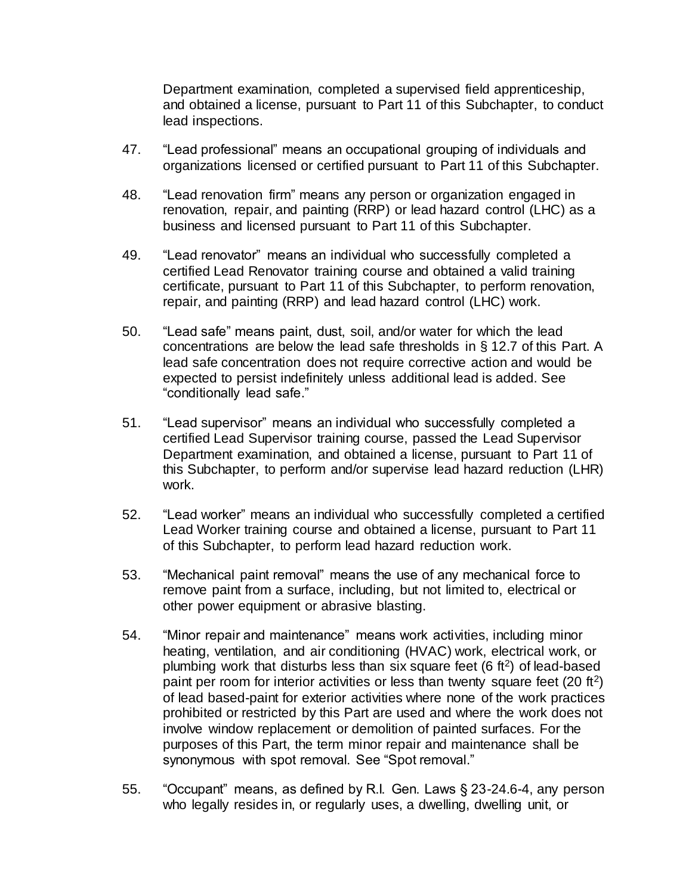Department examination, completed a supervised field apprenticeship, and obtained a license, pursuant to Part 11 of this Subchapter, to conduct lead inspections.

- 47. "Lead professional" means an occupational grouping of individuals and organizations licensed or certified pursuant to Part 11 of this Subchapter.
- 48. "Lead renovation firm" means any person or organization engaged in renovation, repair, and painting (RRP) or lead hazard control (LHC) as a business and licensed pursuant to Part 11 of this Subchapter.
- 49. "Lead renovator" means an individual who successfully completed a certified Lead Renovator training course and obtained a valid training certificate, pursuant to Part 11 of this Subchapter, to perform renovation, repair, and painting (RRP) and lead hazard control (LHC) work.
- 50. "Lead safe" means paint, dust, soil, and/or water for which the lead concentrations are below the lead safe thresholds in § 12.7 of this Part. A lead safe concentration does not require corrective action and would be expected to persist indefinitely unless additional lead is added. See "conditionally lead safe."
- 51. "Lead supervisor" means an individual who successfully completed a certified Lead Supervisor training course, passed the Lead Supervisor Department examination, and obtained a license, pursuant to Part 11 of this Subchapter, to perform and/or supervise lead hazard reduction (LHR) work.
- 52. "Lead worker" means an individual who successfully completed a certified Lead Worker training course and obtained a license, pursuant to Part 11 of this Subchapter, to perform lead hazard reduction work.
- 53. "Mechanical paint removal" means the use of any mechanical force to remove paint from a surface, including, but not limited to, electrical or other power equipment or abrasive blasting.
- 54. "Minor repair and maintenance" means work activities, including minor heating, ventilation, and air conditioning (HVAC) work, electrical work, or plumbing work that disturbs less than six square feet  $(6 \text{ ft}^2)$  of lead-based paint per room for interior activities or less than twenty square feet  $(20 \text{ ft}^2)$ of lead based-paint for exterior activities where none of the work practices prohibited or restricted by this Part are used and where the work does not involve window replacement or demolition of painted surfaces. For the purposes of this Part, the term minor repair and maintenance shall be synonymous with spot removal. See "Spot removal."
- 55. "Occupant" means, as defined by R.I. Gen. Laws § 23-24.6-4, any person who legally resides in, or regularly uses, a dwelling, dwelling unit, or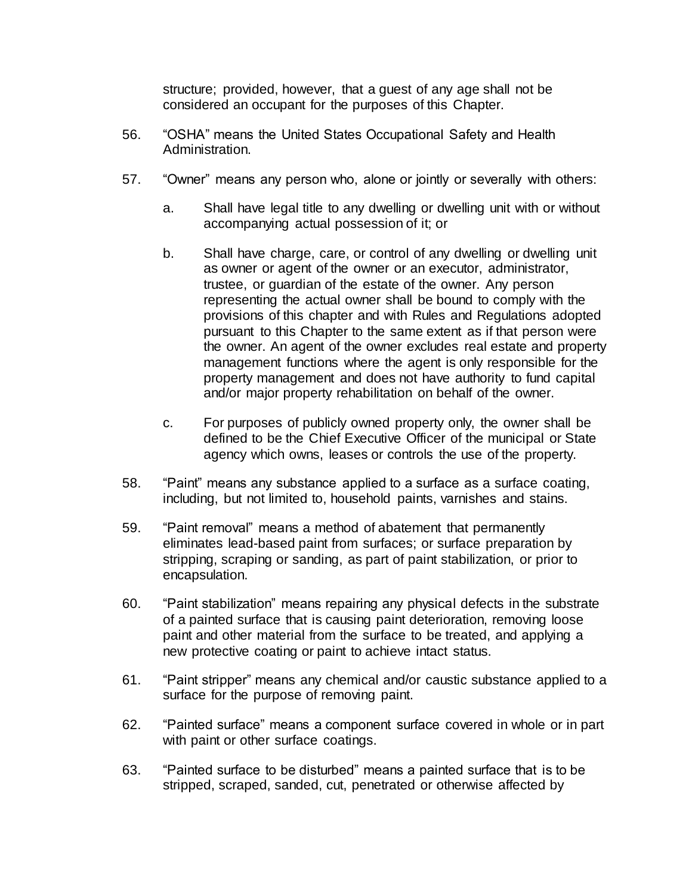structure; provided, however, that a guest of any age shall not be considered an occupant for the purposes of this Chapter.

- 56. "OSHA" means the United States Occupational Safety and Health Administration.
- 57. "Owner" means any person who, alone or jointly or severally with others:
	- a. Shall have legal title to any dwelling or dwelling unit with or without accompanying actual possession of it; or
	- b. Shall have charge, care, or control of any dwelling or dwelling unit as owner or agent of the owner or an executor, administrator, trustee, or guardian of the estate of the owner. Any person representing the actual owner shall be bound to comply with the provisions of this chapter and with Rules and Regulations adopted pursuant to this Chapter to the same extent as if that person were the owner. An agent of the owner excludes real estate and property management functions where the agent is only responsible for the property management and does not have authority to fund capital and/or major property rehabilitation on behalf of the owner.
	- c. For purposes of publicly owned property only, the owner shall be defined to be the Chief Executive Officer of the municipal or State agency which owns, leases or controls the use of the property.
- 58. "Paint" means any substance applied to a surface as a surface coating, including, but not limited to, household paints, varnishes and stains.
- 59. "Paint removal" means a method of abatement that permanently eliminates lead-based paint from surfaces; or surface preparation by stripping, scraping or sanding, as part of paint stabilization, or prior to encapsulation.
- 60. "Paint stabilization" means repairing any physical defects in the substrate of a painted surface that is causing paint deterioration, removing loose paint and other material from the surface to be treated, and applying a new protective coating or paint to achieve intact status.
- 61. "Paint stripper" means any chemical and/or caustic substance applied to a surface for the purpose of removing paint.
- 62. "Painted surface" means a component surface covered in whole or in part with paint or other surface coatings.
- 63. "Painted surface to be disturbed" means a painted surface that is to be stripped, scraped, sanded, cut, penetrated or otherwise affected by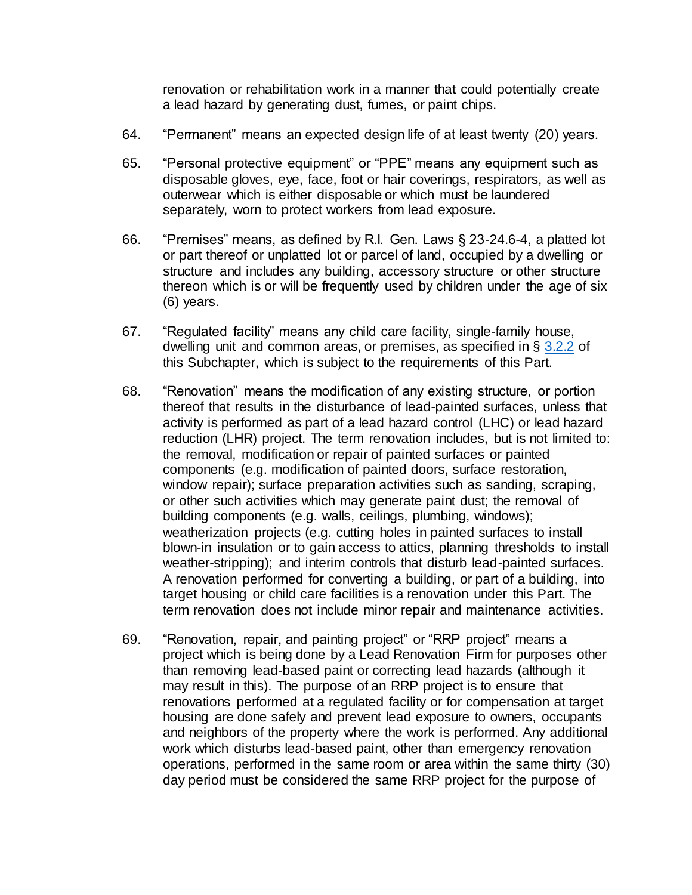renovation or rehabilitation work in a manner that could potentially create a lead hazard by generating dust, fumes, or paint chips.

- 64. "Permanent" means an expected design life of at least twenty (20) years.
- 65. "Personal protective equipment" or "PPE" means any equipment such as disposable gloves, eye, face, foot or hair coverings, respirators, as well as outerwear which is either disposable or which must be laundered separately, worn to protect workers from lead exposure.
- 66. "Premises" means, as defined by R.I. Gen. Laws § 23-24.6-4, a platted lot or part thereof or unplatted lot or parcel of land, occupied by a dwelling or structure and includes any building, accessory structure or other structure thereon which is or will be frequently used by children under the age of six (6) years.
- 67. "Regulated facility" means any child care facility, single-family house, dwelling unit and common areas, or premises, as specified in § [3.2.2](https://rules.sos.ri.gov/regulations/part/216-50-15-3) of this Subchapter, which is subject to the requirements of this Part.
- 68. "Renovation" means the modification of any existing structure, or portion thereof that results in the disturbance of lead-painted surfaces, unless that activity is performed as part of a lead hazard control (LHC) or lead hazard reduction (LHR) project. The term renovation includes, but is not limited to: the removal, modification or repair of painted surfaces or painted components (e.g. modification of painted doors, surface restoration, window repair); surface preparation activities such as sanding, scraping, or other such activities which may generate paint dust; the removal of building components (e.g. walls, ceilings, plumbing, windows); weatherization projects (e.g. cutting holes in painted surfaces to install blown-in insulation or to gain access to attics, planning thresholds to install weather-stripping); and interim controls that disturb lead-painted surfaces. A renovation performed for converting a building, or part of a building, into target housing or child care facilities is a renovation under this Part. The term renovation does not include minor repair and maintenance activities.
- 69. "Renovation, repair, and painting project" or "RRP project" means a project which is being done by a Lead Renovation Firm for purposes other than removing lead-based paint or correcting lead hazards (although it may result in this). The purpose of an RRP project is to ensure that renovations performed at a regulated facility or for compensation at target housing are done safely and prevent lead exposure to owners, occupants and neighbors of the property where the work is performed. Any additional work which disturbs lead-based paint, other than emergency renovation operations, performed in the same room or area within the same thirty (30) day period must be considered the same RRP project for the purpose of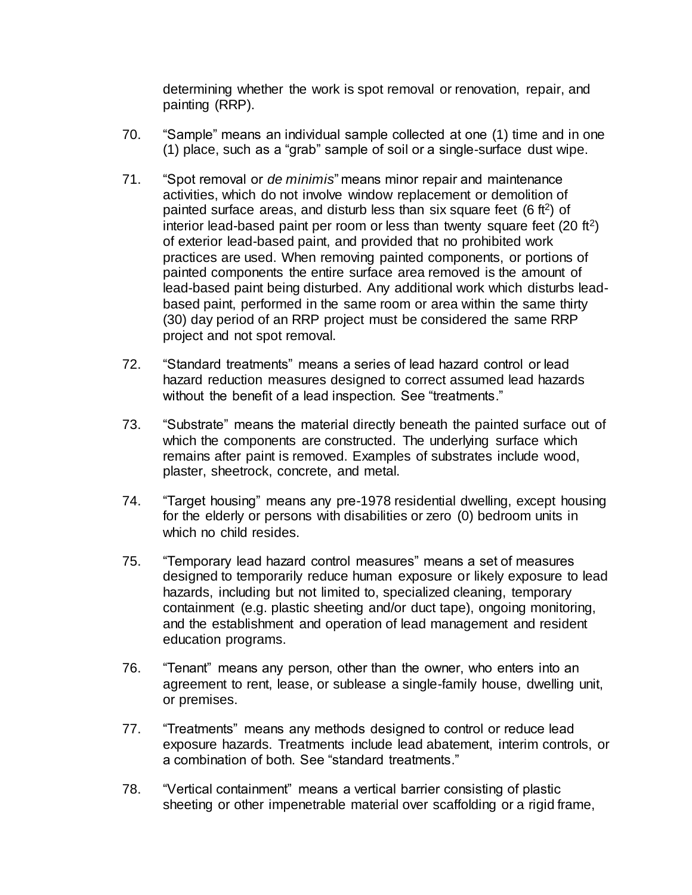determining whether the work is spot removal or renovation, repair, and painting (RRP).

- 70. "Sample" means an individual sample collected at one (1) time and in one (1) place, such as a "grab" sample of soil or a single-surface dust wipe.
- 71. "Spot removal or *de minimis*" means minor repair and maintenance activities, which do not involve window replacement or demolition of painted surface areas, and disturb less than six square feet (6 ft<sup>2</sup>) of interior lead-based paint per room or less than twenty square feet  $(20 \text{ ft}^2)$ of exterior lead-based paint, and provided that no prohibited work practices are used. When removing painted components, or portions of painted components the entire surface area removed is the amount of lead-based paint being disturbed. Any additional work which disturbs leadbased paint, performed in the same room or area within the same thirty (30) day period of an RRP project must be considered the same RRP project and not spot removal.
- 72. "Standard treatments" means a series of lead hazard control or lead hazard reduction measures designed to correct assumed lead hazards without the benefit of a lead inspection. See "treatments."
- 73. "Substrate" means the material directly beneath the painted surface out of which the components are constructed. The underlying surface which remains after paint is removed. Examples of substrates include wood, plaster, sheetrock, concrete, and metal.
- 74. "Target housing" means any pre-1978 residential dwelling, except housing for the elderly or persons with disabilities or zero (0) bedroom units in which no child resides.
- 75. "Temporary lead hazard control measures" means a set of measures designed to temporarily reduce human exposure or likely exposure to lead hazards, including but not limited to, specialized cleaning, temporary containment (e.g. plastic sheeting and/or duct tape), ongoing monitoring, and the establishment and operation of lead management and resident education programs.
- 76. "Tenant" means any person, other than the owner, who enters into an agreement to rent, lease, or sublease a single-family house, dwelling unit, or premises.
- 77. "Treatments" means any methods designed to control or reduce lead exposure hazards. Treatments include lead abatement, interim controls, or a combination of both. See "standard treatments."
- 78. "Vertical containment" means a vertical barrier consisting of plastic sheeting or other impenetrable material over scaffolding or a rigid frame,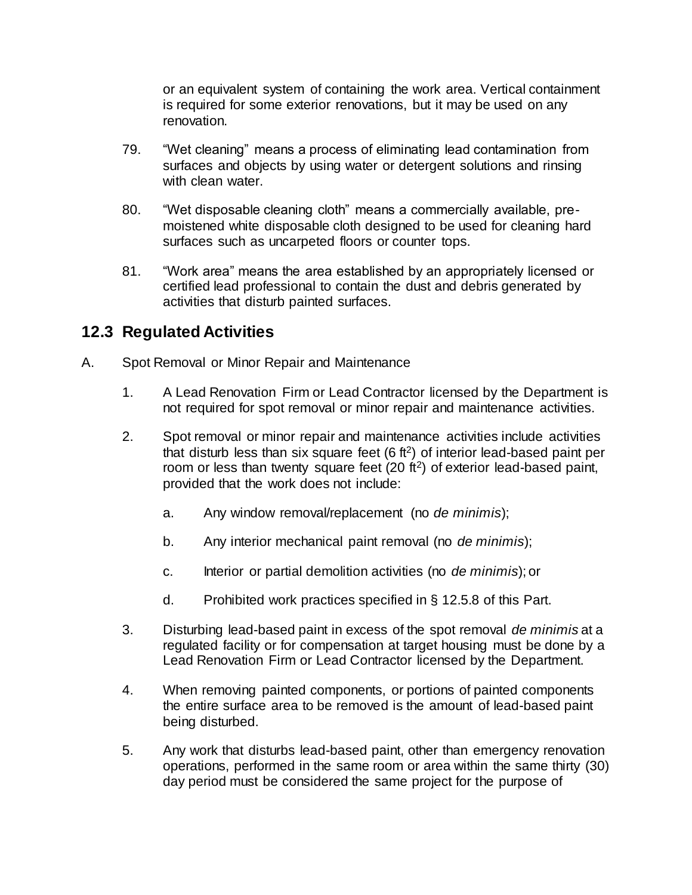or an equivalent system of containing the work area. Vertical containment is required for some exterior renovations, but it may be used on any renovation.

- 79. "Wet cleaning" means a process of eliminating lead contamination from surfaces and objects by using water or detergent solutions and rinsing with clean water.
- 80. "Wet disposable cleaning cloth" means a commercially available, premoistened white disposable cloth designed to be used for cleaning hard surfaces such as uncarpeted floors or counter tops.
- 81. "Work area" means the area established by an appropriately licensed or certified lead professional to contain the dust and debris generated by activities that disturb painted surfaces.

## **12.3 Regulated Activities**

- A. Spot Removal or Minor Repair and Maintenance
	- 1. A Lead Renovation Firm or Lead Contractor licensed by the Department is not required for spot removal or minor repair and maintenance activities.
	- 2. Spot removal or minor repair and maintenance activities include activities that disturb less than six square feet  $(6 \text{ ft}^2)$  of interior lead-based paint per room or less than twenty square feet  $(20 \text{ ft}^2)$  of exterior lead-based paint, provided that the work does not include:
		- a. Any window removal/replacement (no *de minimis*);
		- b. Any interior mechanical paint removal (no *de minimis*);
		- c. Interior or partial demolition activities (no *de minimis*); or
		- d. Prohibited work practices specified in § 12.5.8 of this Part.
	- 3. Disturbing lead-based paint in excess of the spot removal *de minimis* at a regulated facility or for compensation at target housing must be done by a Lead Renovation Firm or Lead Contractor licensed by the Department.
	- 4. When removing painted components, or portions of painted components the entire surface area to be removed is the amount of lead-based paint being disturbed.
	- 5. Any work that disturbs lead-based paint, other than emergency renovation operations, performed in the same room or area within the same thirty (30) day period must be considered the same project for the purpose of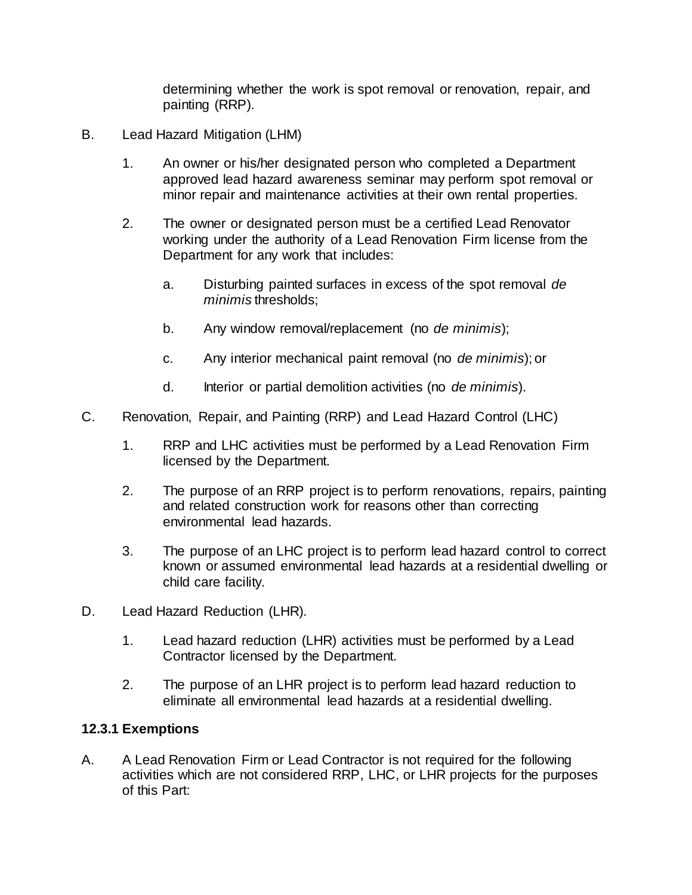determining whether the work is spot removal or renovation, repair, and painting (RRP).

- B. Lead Hazard Mitigation (LHM)
	- 1. An owner or his/her designated person who completed a Department approved lead hazard awareness seminar may perform spot removal or minor repair and maintenance activities at their own rental properties.
	- 2. The owner or designated person must be a certified Lead Renovator working under the authority of a Lead Renovation Firm license from the Department for any work that includes:
		- a. Disturbing painted surfaces in excess of the spot removal *de minimis* thresholds;
		- b. Any window removal/replacement (no *de minimis*);
		- c. Any interior mechanical paint removal (no *de minimis*); or
		- d. Interior or partial demolition activities (no *de minimis*).
- C. Renovation, Repair, and Painting (RRP) and Lead Hazard Control (LHC)
	- 1. RRP and LHC activities must be performed by a Lead Renovation Firm licensed by the Department.
	- 2. The purpose of an RRP project is to perform renovations, repairs, painting and related construction work for reasons other than correcting environmental lead hazards.
	- 3. The purpose of an LHC project is to perform lead hazard control to correct known or assumed environmental lead hazards at a residential dwelling or child care facility.
- D. Lead Hazard Reduction (LHR).
	- 1. Lead hazard reduction (LHR) activities must be performed by a Lead Contractor licensed by the Department.
	- 2. The purpose of an LHR project is to perform lead hazard reduction to eliminate all environmental lead hazards at a residential dwelling.

#### **12.3.1 Exemptions**

A. A Lead Renovation Firm or Lead Contractor is not required for the following activities which are not considered RRP, LHC, or LHR projects for the purposes of this Part: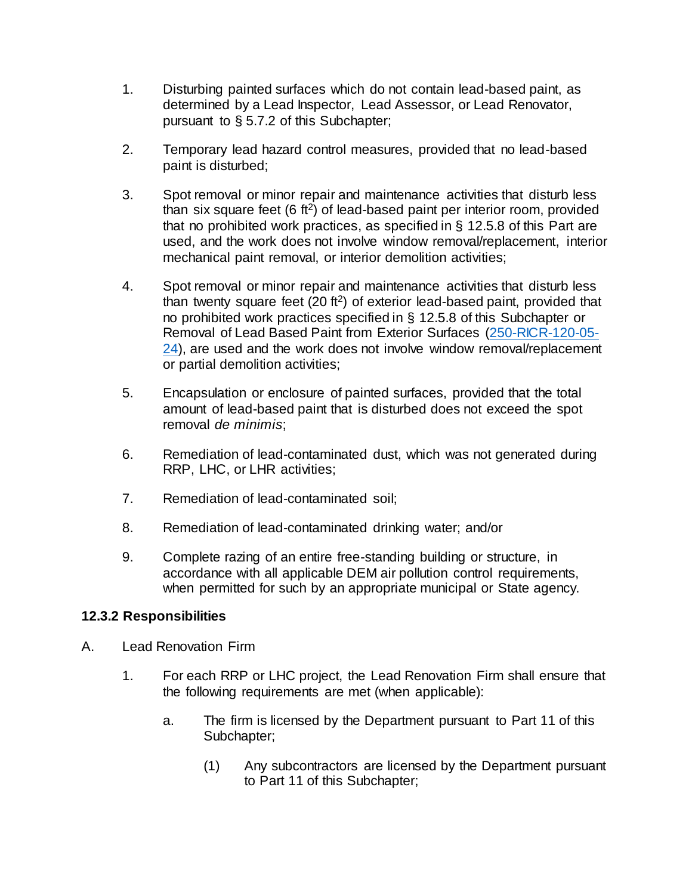- 1. Disturbing painted surfaces which do not contain lead-based paint, as determined by a Lead Inspector, Lead Assessor, or Lead Renovator, pursuant to § 5.7.2 of this Subchapter;
- 2. Temporary lead hazard control measures, provided that no lead-based paint is disturbed;
- 3. Spot removal or minor repair and maintenance activities that disturb less than six square feet  $(6 \text{ ft}^2)$  of lead-based paint per interior room, provided that no prohibited work practices, as specified in § 12.5.8 of this Part are used, and the work does not involve window removal/replacement, interior mechanical paint removal, or interior demolition activities;
- 4. Spot removal or minor repair and maintenance activities that disturb less than twenty square feet  $(20 \text{ ft}^2)$  of exterior lead-based paint, provided that no prohibited work practices specified in § 12.5.8 of this Subchapter or Removal of Lead Based Paint from Exterior Surfaces [\(250-RICR-120-05-](https://rules.sos.ri.gov/regulations/part/250-120-05-24) [24\)](https://rules.sos.ri.gov/regulations/part/250-120-05-24), are used and the work does not involve window removal/replacement or partial demolition activities;
- 5. Encapsulation or enclosure of painted surfaces, provided that the total amount of lead-based paint that is disturbed does not exceed the spot removal *de minimis*;
- 6. Remediation of lead-contaminated dust, which was not generated during RRP, LHC, or LHR activities;
- 7. Remediation of lead-contaminated soil;
- 8. Remediation of lead-contaminated drinking water; and/or
- 9. Complete razing of an entire free-standing building or structure, in accordance with all applicable DEM air pollution control requirements, when permitted for such by an appropriate municipal or State agency.

#### **12.3.2 Responsibilities**

- A. Lead Renovation Firm
	- 1. For each RRP or LHC project, the Lead Renovation Firm shall ensure that the following requirements are met (when applicable):
		- a. The firm is licensed by the Department pursuant to Part 11 of this Subchapter;
			- (1) Any subcontractors are licensed by the Department pursuant to Part 11 of this Subchapter;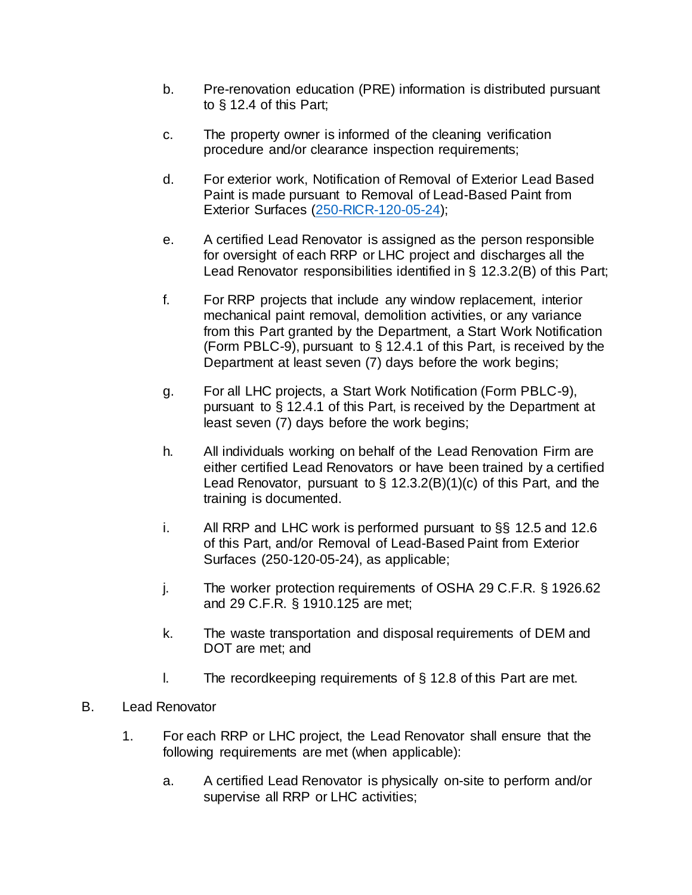- b. Pre-renovation education (PRE) information is distributed pursuant to § 12.4 of this Part;
- c. The property owner is informed of the cleaning verification procedure and/or clearance inspection requirements;
- d. For exterior work, Notification of Removal of Exterior Lead Based Paint is made pursuant to Removal of Lead-Based Paint from Exterior Surfaces [\(250-RICR-120-05-24\);](https://rules.sos.ri.gov/regulations/part/250-120-05-24)
- e. A certified Lead Renovator is assigned as the person responsible for oversight of each RRP or LHC project and discharges all the Lead Renovator responsibilities identified in § 12.3.2(B) of this Part;
- f. For RRP projects that include any window replacement, interior mechanical paint removal, demolition activities, or any variance from this Part granted by the Department, a Start Work Notification (Form PBLC-9), pursuant to § 12.4.1 of this Part, is received by the Department at least seven (7) days before the work begins;
- g. For all LHC projects, a Start Work Notification (Form PBLC-9), pursuant to § 12.4.1 of this Part, is received by the Department at least seven (7) days before the work begins;
- h. All individuals working on behalf of the Lead Renovation Firm are either certified Lead Renovators or have been trained by a certified Lead Renovator, pursuant to  $\S$  12.3.2(B)(1)(c) of this Part, and the training is documented.
- i. All RRP and LHC work is performed pursuant to §§ 12.5 and 12.6 of this Part, and/or Removal of Lead-Based Paint from Exterior Surfaces (250-120-05-24), as applicable;
- j. The worker protection requirements of OSHA 29 C.F.R. § 1926.62 and 29 C.F.R. § 1910.125 are met;
- k. The waste transportation and disposal requirements of DEM and DOT are met; and
- l. The recordkeeping requirements of § 12.8 of this Part are met.
- B. Lead Renovator
	- 1. For each RRP or LHC project, the Lead Renovator shall ensure that the following requirements are met (when applicable):
		- a. A certified Lead Renovator is physically on-site to perform and/or supervise all RRP or LHC activities;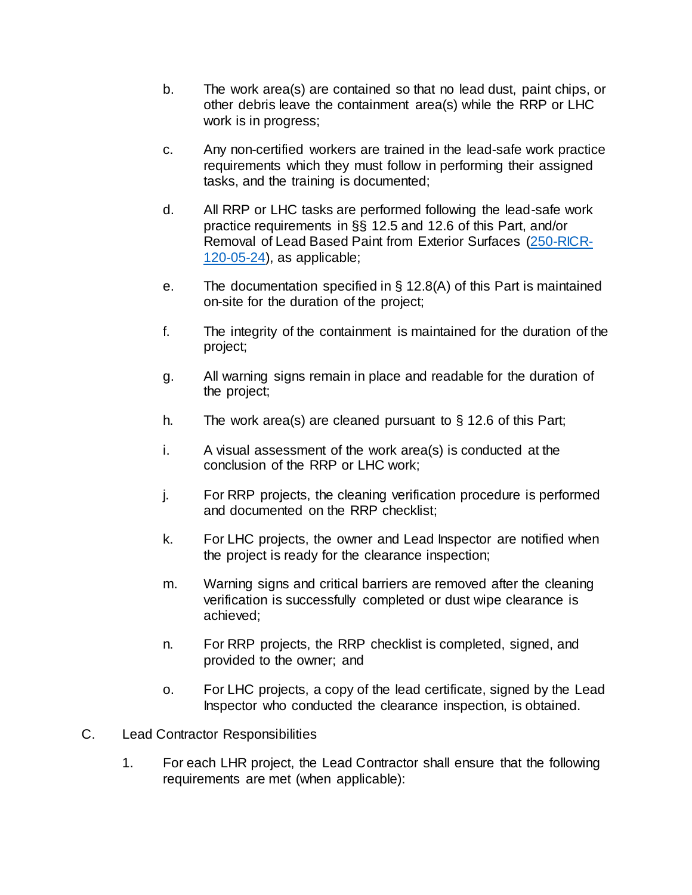- b. The work area(s) are contained so that no lead dust, paint chips, or other debris leave the containment area(s) while the RRP or LHC work is in progress;
- c. Any non-certified workers are trained in the lead-safe work practice requirements which they must follow in performing their assigned tasks, and the training is documented;
- d. All RRP or LHC tasks are performed following the lead-safe work practice requirements in §§ 12.5 and 12.6 of this Part, and/or Removal of Lead Based Paint from Exterior Surfaces [\(250-RICR-](https://rules.sos.ri.gov/regulations/part/250-120-05-24)[120-05-24\)](https://rules.sos.ri.gov/regulations/part/250-120-05-24), as applicable;
- e. The documentation specified in § 12.8(A) of this Part is maintained on-site for the duration of the project;
- f. The integrity of the containment is maintained for the duration of the project;
- g. All warning signs remain in place and readable for the duration of the project;
- h. The work area(s) are cleaned pursuant to § 12.6 of this Part;
- i. A visual assessment of the work area(s) is conducted at the conclusion of the RRP or LHC work;
- j. For RRP projects, the cleaning verification procedure is performed and documented on the RRP checklist;
- k. For LHC projects, the owner and Lead Inspector are notified when the project is ready for the clearance inspection;
- m. Warning signs and critical barriers are removed after the cleaning verification is successfully completed or dust wipe clearance is achieved;
- n. For RRP projects, the RRP checklist is completed, signed, and provided to the owner; and
- o. For LHC projects, a copy of the lead certificate, signed by the Lead Inspector who conducted the clearance inspection, is obtained.
- C. Lead Contractor Responsibilities
	- 1. For each LHR project, the Lead Contractor shall ensure that the following requirements are met (when applicable):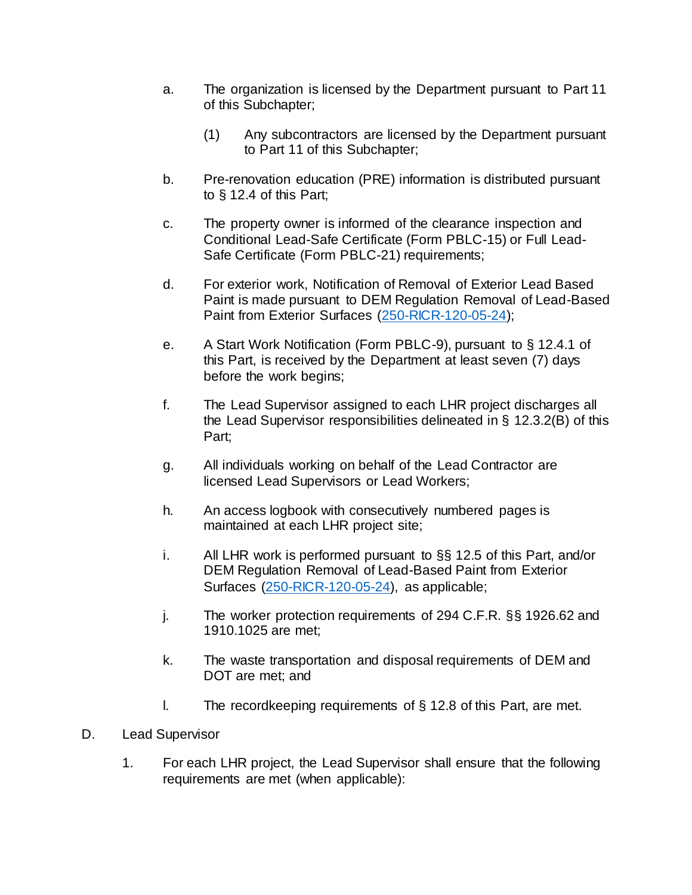- a. The organization is licensed by the Department pursuant to Part 11 of this Subchapter;
	- (1) Any subcontractors are licensed by the Department pursuant to Part 11 of this Subchapter;
- b. Pre-renovation education (PRE) information is distributed pursuant to § 12.4 of this Part;
- c. The property owner is informed of the clearance inspection and Conditional Lead-Safe Certificate (Form PBLC-15) or Full Lead-Safe Certificate (Form PBLC-21) requirements;
- d. For exterior work, Notification of Removal of Exterior Lead Based Paint is made pursuant to DEM Regulation Removal of Lead-Based Paint from Exterior Surfaces [\(250-RICR-120-05-24\)](https://rules.sos.ri.gov/regulations/part/250-120-05-24);
- e. A Start Work Notification (Form PBLC-9), pursuant to § 12.4.1 of this Part, is received by the Department at least seven (7) days before the work begins;
- f. The Lead Supervisor assigned to each LHR project discharges all the Lead Supervisor responsibilities delineated in § 12.3.2(B) of this Part;
- g. All individuals working on behalf of the Lead Contractor are licensed Lead Supervisors or Lead Workers;
- h. An access logbook with consecutively numbered pages is maintained at each LHR project site;
- i. All LHR work is performed pursuant to §§ 12.5 of this Part, and/or DEM Regulation Removal of Lead-Based Paint from Exterior Surfaces [\(250-RICR-120-05-24\)](https://rules.sos.ri.gov/regulations/part/250-120-05-24), as applicable;
- j. The worker protection requirements of 294 C.F.R. §§ 1926.62 and 1910.1025 are met;
- k. The waste transportation and disposal requirements of DEM and DOT are met; and
- l. The recordkeeping requirements of § 12.8 of this Part, are met.
- D. Lead Supervisor
	- 1. For each LHR project, the Lead Supervisor shall ensure that the following requirements are met (when applicable):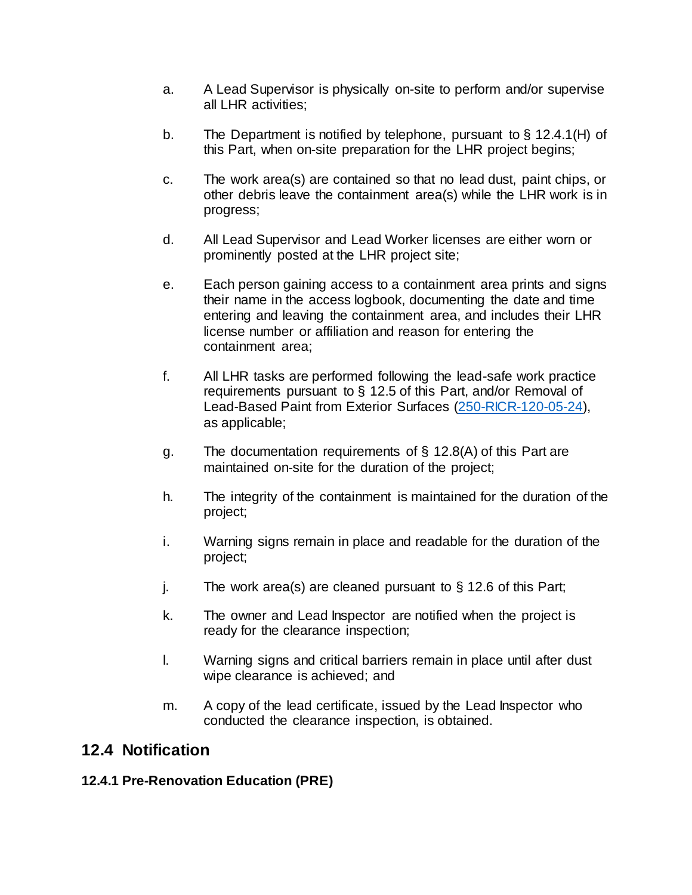- a. A Lead Supervisor is physically on-site to perform and/or supervise all LHR activities;
- b. The Department is notified by telephone, pursuant to § 12.4.1(H) of this Part, when on-site preparation for the LHR project begins;
- c. The work area(s) are contained so that no lead dust, paint chips, or other debris leave the containment area(s) while the LHR work is in progress;
- d. All Lead Supervisor and Lead Worker licenses are either worn or prominently posted at the LHR project site;
- e. Each person gaining access to a containment area prints and signs their name in the access logbook, documenting the date and time entering and leaving the containment area, and includes their LHR license number or affiliation and reason for entering the containment area;
- f. All LHR tasks are performed following the lead-safe work practice requirements pursuant to § 12.5 of this Part, and/or Removal of Lead-Based Paint from Exterior Surfaces [\(250-RICR-120-05-24\),](https://rules.sos.ri.gov/regulations/part/250-120-05-24) as applicable;
- g. The documentation requirements of § 12.8(A) of this Part are maintained on-site for the duration of the project;
- h. The integrity of the containment is maintained for the duration of the project;
- i. Warning signs remain in place and readable for the duration of the project;
- j. The work area(s) are cleaned pursuant to  $\S$  12.6 of this Part;
- k. The owner and Lead Inspector are notified when the project is ready for the clearance inspection;
- l. Warning signs and critical barriers remain in place until after dust wipe clearance is achieved; and
- m. A copy of the lead certificate, issued by the Lead Inspector who conducted the clearance inspection, is obtained.

## **12.4 Notification**

#### **12.4.1 Pre-Renovation Education (PRE)**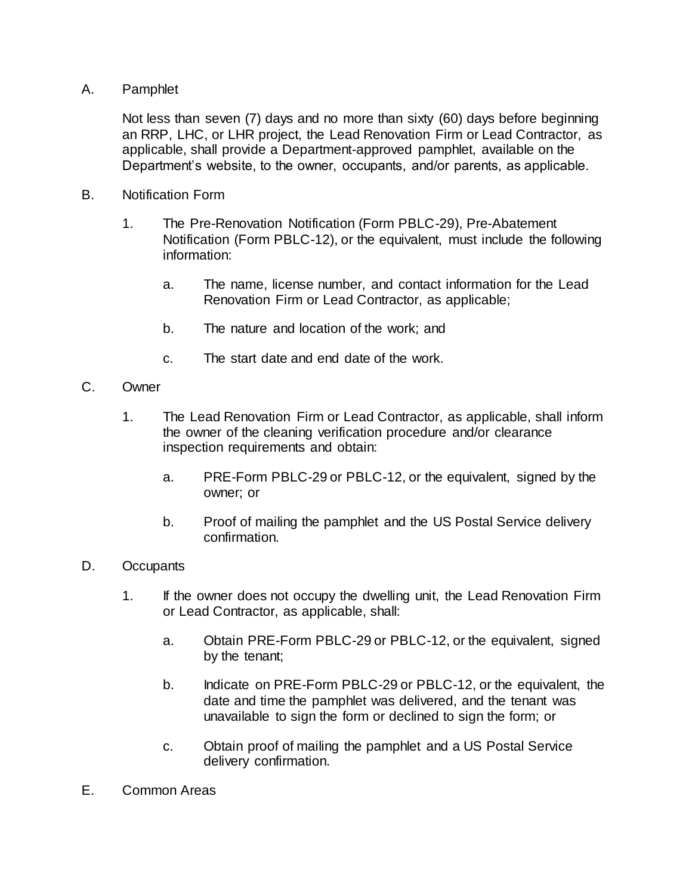#### A. Pamphlet

Not less than seven (7) days and no more than sixty (60) days before beginning an RRP, LHC, or LHR project, the Lead Renovation Firm or Lead Contractor, as applicable, shall provide a Department-approved pamphlet, available on the Department's website, to the owner, occupants, and/or parents, as applicable.

- B. Notification Form
	- 1. The Pre-Renovation Notification (Form PBLC-29), Pre-Abatement Notification (Form PBLC-12), or the equivalent, must include the following information:
		- a. The name, license number, and contact information for the Lead Renovation Firm or Lead Contractor, as applicable;
		- b. The nature and location of the work; and
		- c. The start date and end date of the work.
- C. Owner
	- 1. The Lead Renovation Firm or Lead Contractor, as applicable, shall inform the owner of the cleaning verification procedure and/or clearance inspection requirements and obtain:
		- a. PRE-Form PBLC-29 or PBLC-12, or the equivalent, signed by the owner; or
		- b. Proof of mailing the pamphlet and the US Postal Service delivery confirmation.
- D. Occupants
	- 1. If the owner does not occupy the dwelling unit, the Lead Renovation Firm or Lead Contractor, as applicable, shall:
		- a. Obtain PRE-Form PBLC-29 or PBLC-12, or the equivalent, signed by the tenant;
		- b. Indicate on PRE-Form PBLC-29 or PBLC-12, or the equivalent, the date and time the pamphlet was delivered, and the tenant was unavailable to sign the form or declined to sign the form; or
		- c. Obtain proof of mailing the pamphlet and a US Postal Service delivery confirmation.
- E. Common Areas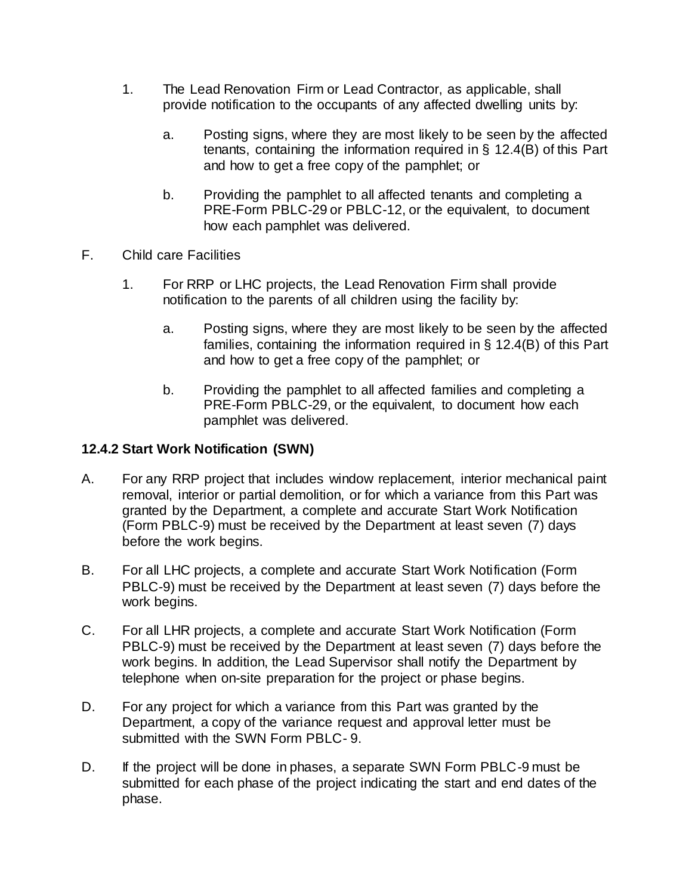- 1. The Lead Renovation Firm or Lead Contractor, as applicable, shall provide notification to the occupants of any affected dwelling units by:
	- a. Posting signs, where they are most likely to be seen by the affected tenants, containing the information required in § 12.4(B) of this Part and how to get a free copy of the pamphlet; or
	- b. Providing the pamphlet to all affected tenants and completing a PRE-Form PBLC-29 or PBLC-12, or the equivalent, to document how each pamphlet was delivered.
- F. Child care Facilities
	- 1. For RRP or LHC projects, the Lead Renovation Firm shall provide notification to the parents of all children using the facility by:
		- a. Posting signs, where they are most likely to be seen by the affected families, containing the information required in § 12.4(B) of this Part and how to get a free copy of the pamphlet; or
		- b. Providing the pamphlet to all affected families and completing a PRE-Form PBLC-29, or the equivalent, to document how each pamphlet was delivered.

#### **12.4.2 Start Work Notification (SWN)**

- A. For any RRP project that includes window replacement, interior mechanical paint removal, interior or partial demolition, or for which a variance from this Part was granted by the Department, a complete and accurate Start Work Notification (Form PBLC-9) must be received by the Department at least seven (7) days before the work begins.
- B. For all LHC projects, a complete and accurate Start Work Notification (Form PBLC-9) must be received by the Department at least seven (7) days before the work begins.
- C. For all LHR projects, a complete and accurate Start Work Notification (Form PBLC-9) must be received by the Department at least seven (7) days before the work begins. In addition, the Lead Supervisor shall notify the Department by telephone when on-site preparation for the project or phase begins.
- D. For any project for which a variance from this Part was granted by the Department, a copy of the variance request and approval letter must be submitted with the SWN Form PBLC- 9.
- D. If the project will be done in phases, a separate SWN Form PBLC-9 must be submitted for each phase of the project indicating the start and end dates of the phase.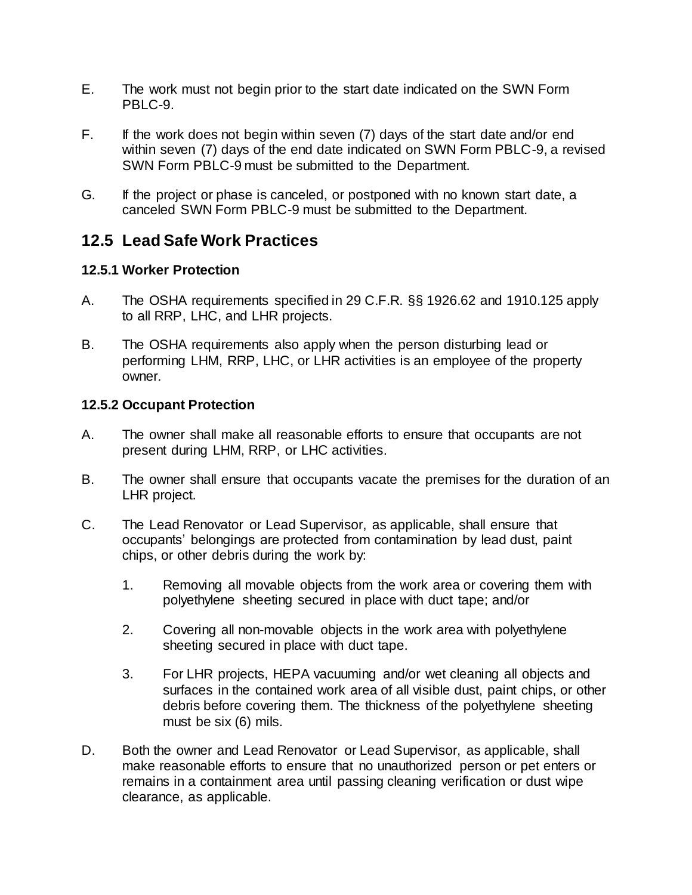- E. The work must not begin prior to the start date indicated on the SWN Form PBLC-9.
- F. If the work does not begin within seven (7) days of the start date and/or end within seven (7) days of the end date indicated on SWN Form PBLC-9, a revised SWN Form PBLC-9 must be submitted to the Department.
- G. If the project or phase is canceled, or postponed with no known start date, a canceled SWN Form PBLC-9 must be submitted to the Department.

### **12.5 Lead Safe Work Practices**

#### **12.5.1 Worker Protection**

- A. The OSHA requirements specified in 29 C.F.R. §§ 1926.62 and 1910.125 apply to all RRP, LHC, and LHR projects.
- B. The OSHA requirements also apply when the person disturbing lead or performing LHM, RRP, LHC, or LHR activities is an employee of the property owner.

#### **12.5.2 Occupant Protection**

- A. The owner shall make all reasonable efforts to ensure that occupants are not present during LHM, RRP, or LHC activities.
- B. The owner shall ensure that occupants vacate the premises for the duration of an LHR project.
- C. The Lead Renovator or Lead Supervisor, as applicable, shall ensure that occupants' belongings are protected from contamination by lead dust, paint chips, or other debris during the work by:
	- 1. Removing all movable objects from the work area or covering them with polyethylene sheeting secured in place with duct tape; and/or
	- 2. Covering all non-movable objects in the work area with polyethylene sheeting secured in place with duct tape.
	- 3. For LHR projects, HEPA vacuuming and/or wet cleaning all objects and surfaces in the contained work area of all visible dust, paint chips, or other debris before covering them. The thickness of the polyethylene sheeting must be six (6) mils.
- D. Both the owner and Lead Renovator or Lead Supervisor, as applicable, shall make reasonable efforts to ensure that no unauthorized person or pet enters or remains in a containment area until passing cleaning verification or dust wipe clearance, as applicable.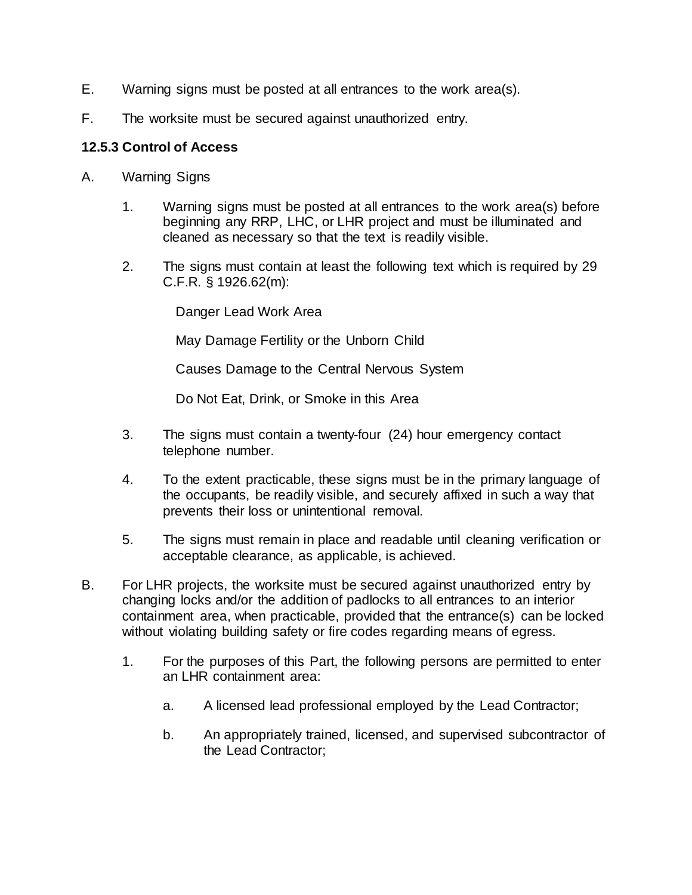- E. Warning signs must be posted at all entrances to the work area(s).
- F. The worksite must be secured against unauthorized entry.

#### **12.5.3 Control of Access**

- A. Warning Signs
	- 1. Warning signs must be posted at all entrances to the work area(s) before beginning any RRP, LHC, or LHR project and must be illuminated and cleaned as necessary so that the text is readily visible.
	- 2. The signs must contain at least the following text which is required by 29 C.F.R. § 1926.62(m):

Danger Lead Work Area

May Damage Fertility or the Unborn Child

Causes Damage to the Central Nervous System

Do Not Eat, Drink, or Smoke in this Area

- 3. The signs must contain a twenty-four (24) hour emergency contact telephone number.
- 4. To the extent practicable, these signs must be in the primary language of the occupants, be readily visible, and securely affixed in such a way that prevents their loss or unintentional removal.
- 5. The signs must remain in place and readable until cleaning verification or acceptable clearance, as applicable, is achieved.
- B. For LHR projects, the worksite must be secured against unauthorized entry by changing locks and/or the addition of padlocks to all entrances to an interior containment area, when practicable, provided that the entrance(s) can be locked without violating building safety or fire codes regarding means of egress.
	- 1. For the purposes of this Part, the following persons are permitted to enter an LHR containment area:
		- a. A licensed lead professional employed by the Lead Contractor;
		- b. An appropriately trained, licensed, and supervised subcontractor of the Lead Contractor;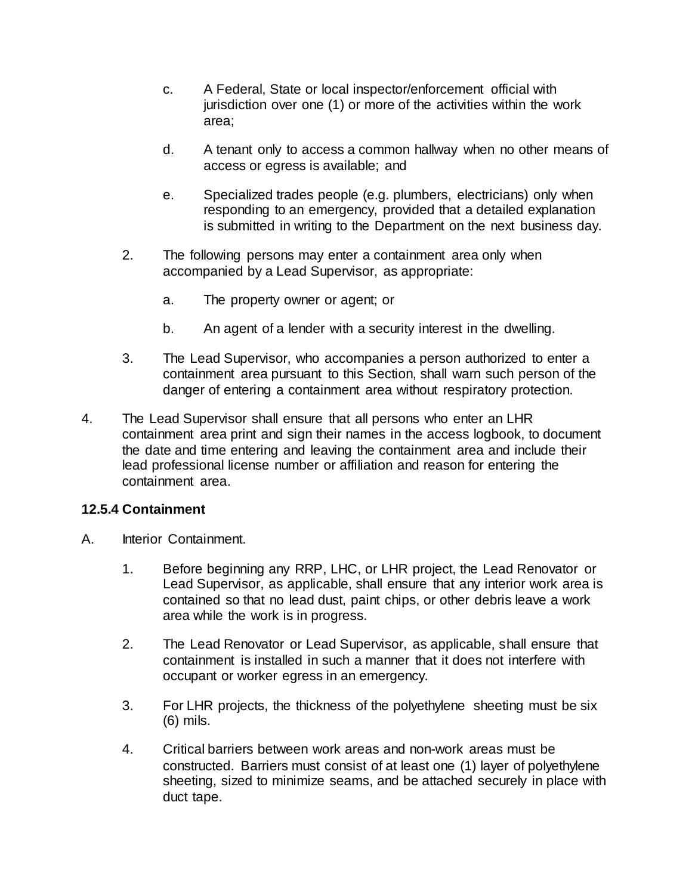- c. A Federal, State or local inspector/enforcement official with jurisdiction over one (1) or more of the activities within the work area;
- d. A tenant only to access a common hallway when no other means of access or egress is available; and
- e. Specialized trades people (e.g. plumbers, electricians) only when responding to an emergency, provided that a detailed explanation is submitted in writing to the Department on the next business day.
- 2. The following persons may enter a containment area only when accompanied by a Lead Supervisor, as appropriate:
	- a. The property owner or agent; or
	- b. An agent of a lender with a security interest in the dwelling.
- 3. The Lead Supervisor, who accompanies a person authorized to enter a containment area pursuant to this Section, shall warn such person of the danger of entering a containment area without respiratory protection.
- 4. The Lead Supervisor shall ensure that all persons who enter an LHR containment area print and sign their names in the access logbook, to document the date and time entering and leaving the containment area and include their lead professional license number or affiliation and reason for entering the containment area.

#### **12.5.4 Containment**

- A. Interior Containment.
	- 1. Before beginning any RRP, LHC, or LHR project, the Lead Renovator or Lead Supervisor, as applicable, shall ensure that any interior work area is contained so that no lead dust, paint chips, or other debris leave a work area while the work is in progress.
	- 2. The Lead Renovator or Lead Supervisor, as applicable, shall ensure that containment is installed in such a manner that it does not interfere with occupant or worker egress in an emergency.
	- 3. For LHR projects, the thickness of the polyethylene sheeting must be six (6) mils.
	- 4. Critical barriers between work areas and non-work areas must be constructed. Barriers must consist of at least one (1) layer of polyethylene sheeting, sized to minimize seams, and be attached securely in place with duct tape.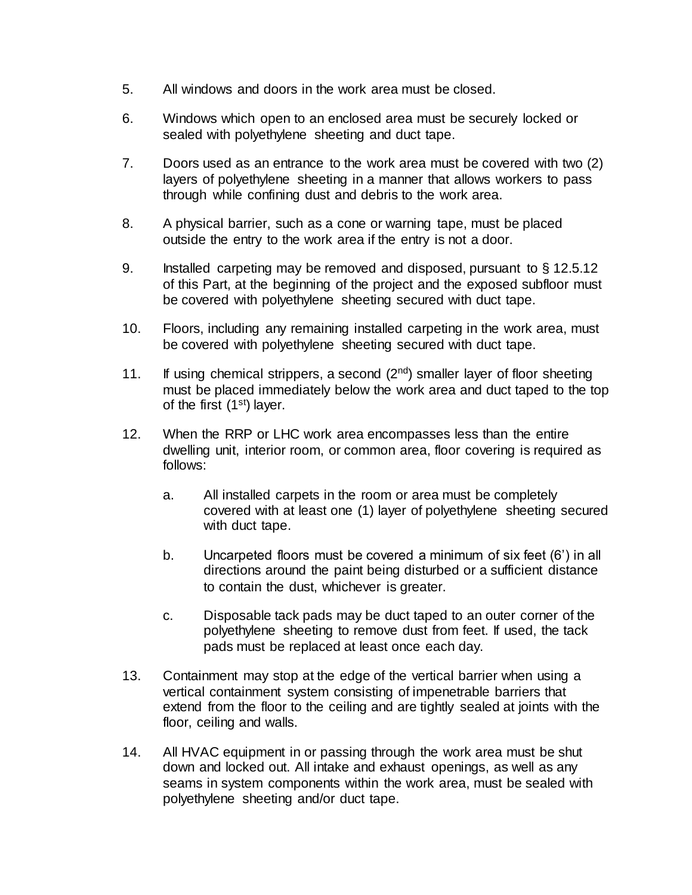- 5. All windows and doors in the work area must be closed.
- 6. Windows which open to an enclosed area must be securely locked or sealed with polyethylene sheeting and duct tape.
- 7. Doors used as an entrance to the work area must be covered with two (2) layers of polyethylene sheeting in a manner that allows workers to pass through while confining dust and debris to the work area.
- 8. A physical barrier, such as a cone or warning tape, must be placed outside the entry to the work area if the entry is not a door.
- 9. Installed carpeting may be removed and disposed, pursuant to § 12.5.12 of this Part, at the beginning of the project and the exposed subfloor must be covered with polyethylene sheeting secured with duct tape.
- 10. Floors, including any remaining installed carpeting in the work area, must be covered with polyethylene sheeting secured with duct tape.
- 11. If using chemical strippers, a second  $(2^{nd})$  smaller layer of floor sheeting must be placed immediately below the work area and duct taped to the top of the first  $(1<sup>st</sup>)$  layer.
- 12. When the RRP or LHC work area encompasses less than the entire dwelling unit, interior room, or common area, floor covering is required as follows:
	- a. All installed carpets in the room or area must be completely covered with at least one (1) layer of polyethylene sheeting secured with duct tape.
	- b. Uncarpeted floors must be covered a minimum of six feet (6') in all directions around the paint being disturbed or a sufficient distance to contain the dust, whichever is greater.
	- c. Disposable tack pads may be duct taped to an outer corner of the polyethylene sheeting to remove dust from feet. If used, the tack pads must be replaced at least once each day.
- 13. Containment may stop at the edge of the vertical barrier when using a vertical containment system consisting of impenetrable barriers that extend from the floor to the ceiling and are tightly sealed at joints with the floor, ceiling and walls.
- 14. All HVAC equipment in or passing through the work area must be shut down and locked out. All intake and exhaust openings, as well as any seams in system components within the work area, must be sealed with polyethylene sheeting and/or duct tape.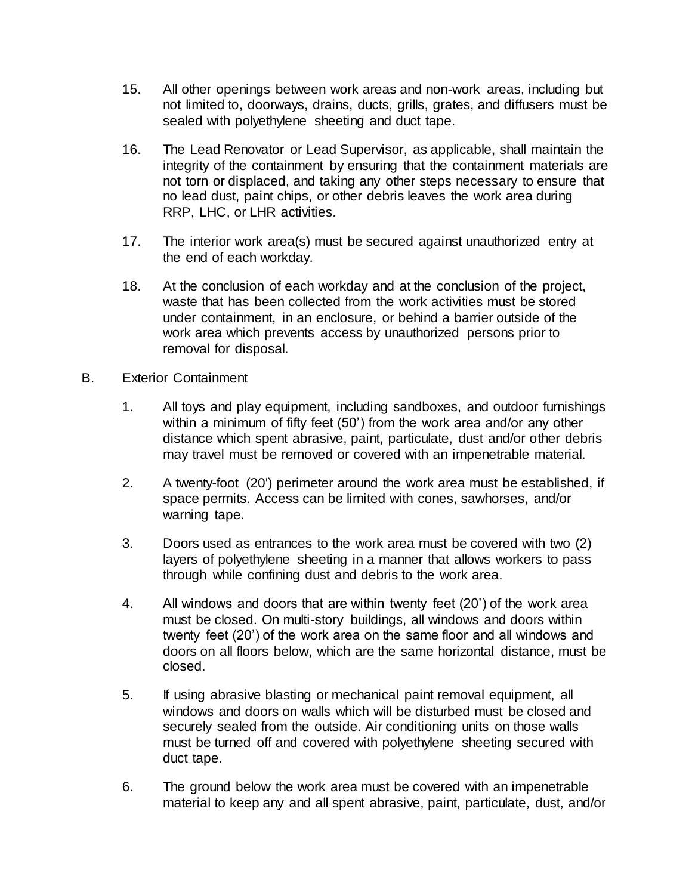- 15. All other openings between work areas and non-work areas, including but not limited to, doorways, drains, ducts, grills, grates, and diffusers must be sealed with polyethylene sheeting and duct tape.
- 16. The Lead Renovator or Lead Supervisor, as applicable, shall maintain the integrity of the containment by ensuring that the containment materials are not torn or displaced, and taking any other steps necessary to ensure that no lead dust, paint chips, or other debris leaves the work area during RRP, LHC, or LHR activities.
- 17. The interior work area(s) must be secured against unauthorized entry at the end of each workday.
- 18. At the conclusion of each workday and at the conclusion of the project, waste that has been collected from the work activities must be stored under containment, in an enclosure, or behind a barrier outside of the work area which prevents access by unauthorized persons prior to removal for disposal.
- B. Exterior Containment
	- 1. All toys and play equipment, including sandboxes, and outdoor furnishings within a minimum of fifty feet (50') from the work area and/or any other distance which spent abrasive, paint, particulate, dust and/or other debris may travel must be removed or covered with an impenetrable material.
	- 2. A twenty-foot (20') perimeter around the work area must be established, if space permits. Access can be limited with cones, sawhorses, and/or warning tape.
	- 3. Doors used as entrances to the work area must be covered with two (2) layers of polyethylene sheeting in a manner that allows workers to pass through while confining dust and debris to the work area.
	- 4. All windows and doors that are within twenty feet (20') of the work area must be closed. On multi-story buildings, all windows and doors within twenty feet (20') of the work area on the same floor and all windows and doors on all floors below, which are the same horizontal distance, must be closed.
	- 5. If using abrasive blasting or mechanical paint removal equipment, all windows and doors on walls which will be disturbed must be closed and securely sealed from the outside. Air conditioning units on those walls must be turned off and covered with polyethylene sheeting secured with duct tape.
	- 6. The ground below the work area must be covered with an impenetrable material to keep any and all spent abrasive, paint, particulate, dust, and/or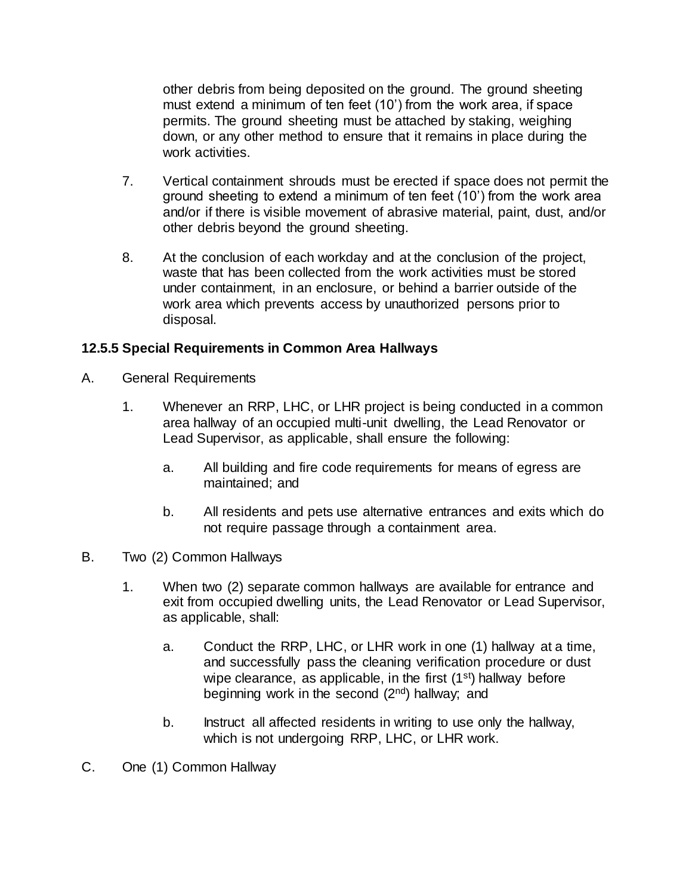other debris from being deposited on the ground. The ground sheeting must extend a minimum of ten feet (10') from the work area, if space permits. The ground sheeting must be attached by staking, weighing down, or any other method to ensure that it remains in place during the work activities.

- 7. Vertical containment shrouds must be erected if space does not permit the ground sheeting to extend a minimum of ten feet (10') from the work area and/or if there is visible movement of abrasive material, paint, dust, and/or other debris beyond the ground sheeting.
- 8. At the conclusion of each workday and at the conclusion of the project, waste that has been collected from the work activities must be stored under containment, in an enclosure, or behind a barrier outside of the work area which prevents access by unauthorized persons prior to disposal.

#### **12.5.5 Special Requirements in Common Area Hallways**

- A. General Requirements
	- 1. Whenever an RRP, LHC, or LHR project is being conducted in a common area hallway of an occupied multi-unit dwelling, the Lead Renovator or Lead Supervisor, as applicable, shall ensure the following:
		- a. All building and fire code requirements for means of egress are maintained; and
		- b. All residents and pets use alternative entrances and exits which do not require passage through a containment area.
- B. Two (2) Common Hallways
	- 1. When two (2) separate common hallways are available for entrance and exit from occupied dwelling units, the Lead Renovator or Lead Supervisor, as applicable, shall:
		- a. Conduct the RRP, LHC, or LHR work in one (1) hallway at a time, and successfully pass the cleaning verification procedure or dust wipe clearance, as applicable, in the first  $(1<sup>st</sup>)$  hallway before beginning work in the second (2nd) hallway; and
		- b. Instruct all affected residents in writing to use only the hallway, which is not undergoing RRP, LHC, or LHR work.
- C. One (1) Common Hallway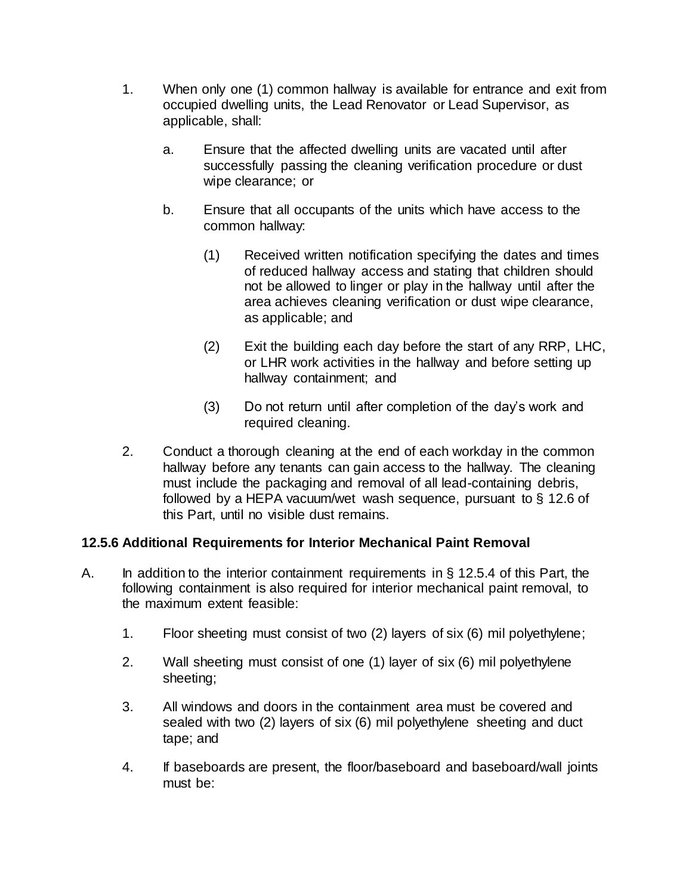- 1. When only one (1) common hallway is available for entrance and exit from occupied dwelling units, the Lead Renovator or Lead Supervisor, as applicable, shall:
	- a. Ensure that the affected dwelling units are vacated until after successfully passing the cleaning verification procedure or dust wipe clearance; or
	- b. Ensure that all occupants of the units which have access to the common hallway:
		- (1) Received written notification specifying the dates and times of reduced hallway access and stating that children should not be allowed to linger or play in the hallway until after the area achieves cleaning verification or dust wipe clearance, as applicable; and
		- (2) Exit the building each day before the start of any RRP, LHC, or LHR work activities in the hallway and before setting up hallway containment; and
		- (3) Do not return until after completion of the day's work and required cleaning.
- 2. Conduct a thorough cleaning at the end of each workday in the common hallway before any tenants can gain access to the hallway. The cleaning must include the packaging and removal of all lead-containing debris, followed by a HEPA vacuum/wet wash sequence, pursuant to § 12.6 of this Part, until no visible dust remains.

#### **12.5.6 Additional Requirements for Interior Mechanical Paint Removal**

- A. In addition to the interior containment requirements in § 12.5.4 of this Part, the following containment is also required for interior mechanical paint removal, to the maximum extent feasible:
	- 1. Floor sheeting must consist of two (2) layers of six (6) mil polyethylene;
	- 2. Wall sheeting must consist of one (1) layer of six (6) mil polyethylene sheeting;
	- 3. All windows and doors in the containment area must be covered and sealed with two (2) layers of six (6) mil polyethylene sheeting and duct tape; and
	- 4. If baseboards are present, the floor/baseboard and baseboard/wall joints must be: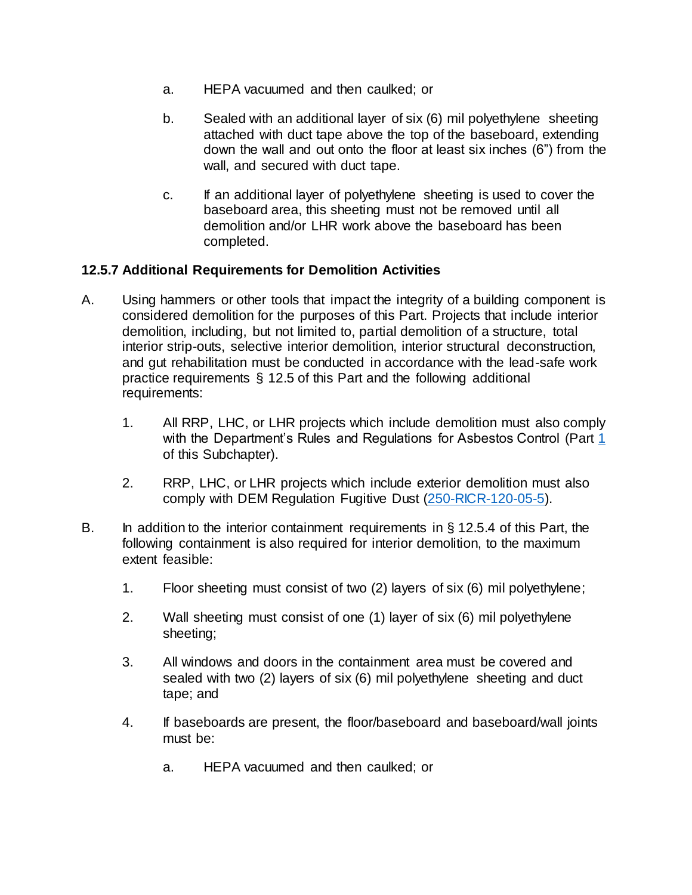- a. HEPA vacuumed and then caulked; or
- b. Sealed with an additional layer of six (6) mil polyethylene sheeting attached with duct tape above the top of the baseboard, extending down the wall and out onto the floor at least six inches (6") from the wall, and secured with duct tape.
- c. If an additional layer of polyethylene sheeting is used to cover the baseboard area, this sheeting must not be removed until all demolition and/or LHR work above the baseboard has been completed.

#### **12.5.7 Additional Requirements for Demolition Activities**

- A. Using hammers or other tools that impact the integrity of a building component is considered demolition for the purposes of this Part. Projects that include interior demolition, including, but not limited to, partial demolition of a structure, total interior strip-outs, selective interior demolition, interior structural deconstruction, and gut rehabilitation must be conducted in accordance with the lead-safe work practice requirements § 12.5 of this Part and the following additional requirements:
	- 1. All RRP, LHC, or LHR projects which include demolition must also comply with the Department's Rules and Regulations for Asbestos Control (Part [1](https://rules.sos.ri.gov/regulations/part/216-50-15-1)) of this Subchapter).
	- 2. RRP, LHC, or LHR projects which include exterior demolition must also comply with DEM Regulation Fugitive Dust [\(250-RICR-120-05-5\).](https://rules.sos.ri.gov/regulations/part/250-120-05-5)
- B. In addition to the interior containment requirements in § 12.5.4 of this Part, the following containment is also required for interior demolition, to the maximum extent feasible:
	- 1. Floor sheeting must consist of two (2) layers of six (6) mil polyethylene;
	- 2. Wall sheeting must consist of one (1) layer of six (6) mil polyethylene sheeting;
	- 3. All windows and doors in the containment area must be covered and sealed with two (2) layers of six (6) mil polyethylene sheeting and duct tape; and
	- 4. If baseboards are present, the floor/baseboard and baseboard/wall joints must be:
		- a. HEPA vacuumed and then caulked; or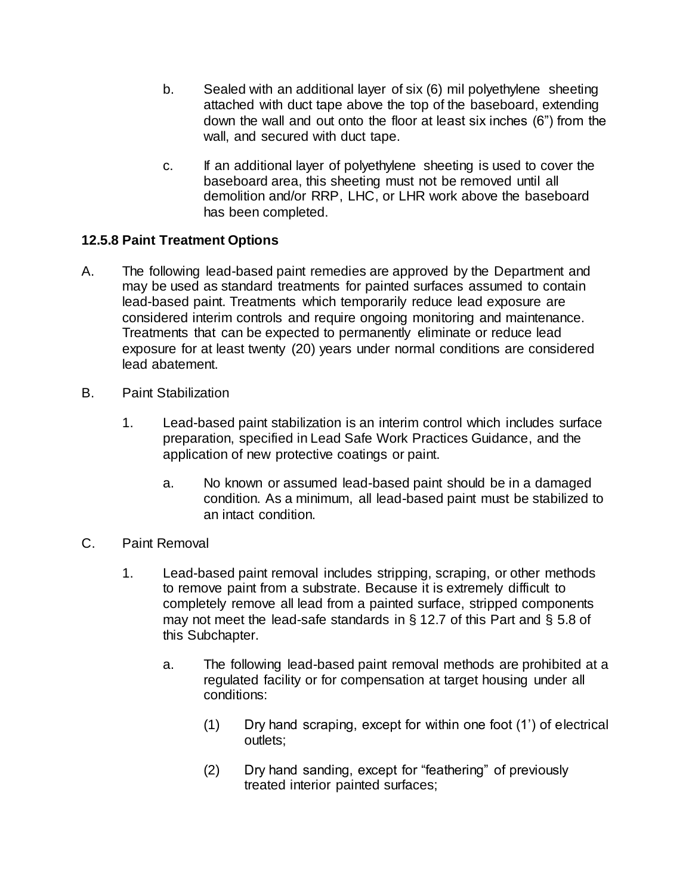- b. Sealed with an additional layer of six (6) mil polyethylene sheeting attached with duct tape above the top of the baseboard, extending down the wall and out onto the floor at least six inches (6") from the wall, and secured with duct tape.
- c. If an additional layer of polyethylene sheeting is used to cover the baseboard area, this sheeting must not be removed until all demolition and/or RRP, LHC, or LHR work above the baseboard has been completed.

#### **12.5.8 Paint Treatment Options**

- A. The following lead-based paint remedies are approved by the Department and may be used as standard treatments for painted surfaces assumed to contain lead-based paint. Treatments which temporarily reduce lead exposure are considered interim controls and require ongoing monitoring and maintenance. Treatments that can be expected to permanently eliminate or reduce lead exposure for at least twenty (20) years under normal conditions are considered lead abatement.
- B. Paint Stabilization
	- 1. Lead-based paint stabilization is an interim control which includes surface preparation, specified in Lead Safe Work Practices Guidance, and the application of new protective coatings or paint.
		- a. No known or assumed lead-based paint should be in a damaged condition. As a minimum, all lead-based paint must be stabilized to an intact condition.
- C. Paint Removal
	- 1. Lead-based paint removal includes stripping, scraping, or other methods to remove paint from a substrate. Because it is extremely difficult to completely remove all lead from a painted surface, stripped components may not meet the lead-safe standards in § 12.7 of this Part and § 5.8 of this Subchapter.
		- a. The following lead-based paint removal methods are prohibited at a regulated facility or for compensation at target housing under all conditions:
			- (1) Dry hand scraping, except for within one foot (1') of electrical outlets;
			- (2) Dry hand sanding, except for "feathering" of previously treated interior painted surfaces;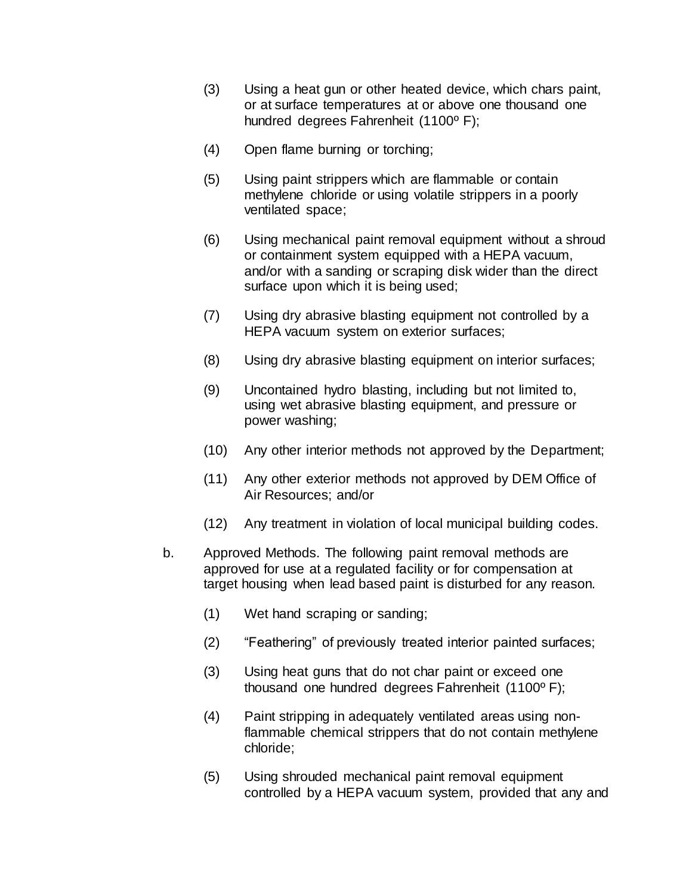- (3) Using a heat gun or other heated device, which chars paint, or at surface temperatures at or above one thousand one hundred degrees Fahrenheit (1100º F);
- (4) Open flame burning or torching;
- (5) Using paint strippers which are flammable or contain methylene chloride or using volatile strippers in a poorly ventilated space;
- (6) Using mechanical paint removal equipment without a shroud or containment system equipped with a HEPA vacuum, and/or with a sanding or scraping disk wider than the direct surface upon which it is being used;
- (7) Using dry abrasive blasting equipment not controlled by a HEPA vacuum system on exterior surfaces;
- (8) Using dry abrasive blasting equipment on interior surfaces;
- (9) Uncontained hydro blasting, including but not limited to, using wet abrasive blasting equipment, and pressure or power washing;
- (10) Any other interior methods not approved by the Department;
- (11) Any other exterior methods not approved by DEM Office of Air Resources; and/or
- (12) Any treatment in violation of local municipal building codes.
- b. Approved Methods. The following paint removal methods are approved for use at a regulated facility or for compensation at target housing when lead based paint is disturbed for any reason.
	- (1) Wet hand scraping or sanding;
	- (2) "Feathering" of previously treated interior painted surfaces;
	- (3) Using heat guns that do not char paint or exceed one thousand one hundred degrees Fahrenheit (1100º F);
	- (4) Paint stripping in adequately ventilated areas using nonflammable chemical strippers that do not contain methylene chloride;
	- (5) Using shrouded mechanical paint removal equipment controlled by a HEPA vacuum system, provided that any and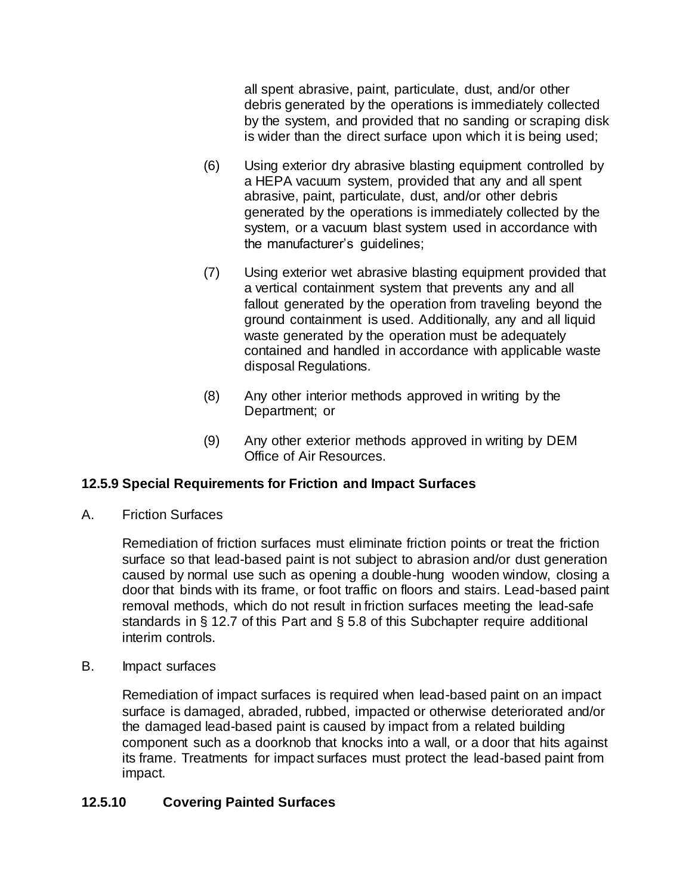all spent abrasive, paint, particulate, dust, and/or other debris generated by the operations is immediately collected by the system, and provided that no sanding or scraping disk is wider than the direct surface upon which it is being used;

- (6) Using exterior dry abrasive blasting equipment controlled by a HEPA vacuum system, provided that any and all spent abrasive, paint, particulate, dust, and/or other debris generated by the operations is immediately collected by the system, or a vacuum blast system used in accordance with the manufacturer's guidelines;
- (7) Using exterior wet abrasive blasting equipment provided that a vertical containment system that prevents any and all fallout generated by the operation from traveling beyond the ground containment is used. Additionally, any and all liquid waste generated by the operation must be adequately contained and handled in accordance with applicable waste disposal Regulations.
- (8) Any other interior methods approved in writing by the Department; or
- (9) Any other exterior methods approved in writing by DEM Office of Air Resources.

#### **12.5.9 Special Requirements for Friction and Impact Surfaces**

A. Friction Surfaces

Remediation of friction surfaces must eliminate friction points or treat the friction surface so that lead-based paint is not subject to abrasion and/or dust generation caused by normal use such as opening a double-hung wooden window, closing a door that binds with its frame, or foot traffic on floors and stairs. Lead-based paint removal methods, which do not result in friction surfaces meeting the lead-safe standards in § 12.7 of this Part and § 5.8 of this Subchapter require additional interim controls.

B. Impact surfaces

Remediation of impact surfaces is required when lead-based paint on an impact surface is damaged, abraded, rubbed, impacted or otherwise deteriorated and/or the damaged lead-based paint is caused by impact from a related building component such as a doorknob that knocks into a wall, or a door that hits against its frame. Treatments for impact surfaces must protect the lead-based paint from impact.

#### **12.5.10 Covering Painted Surfaces**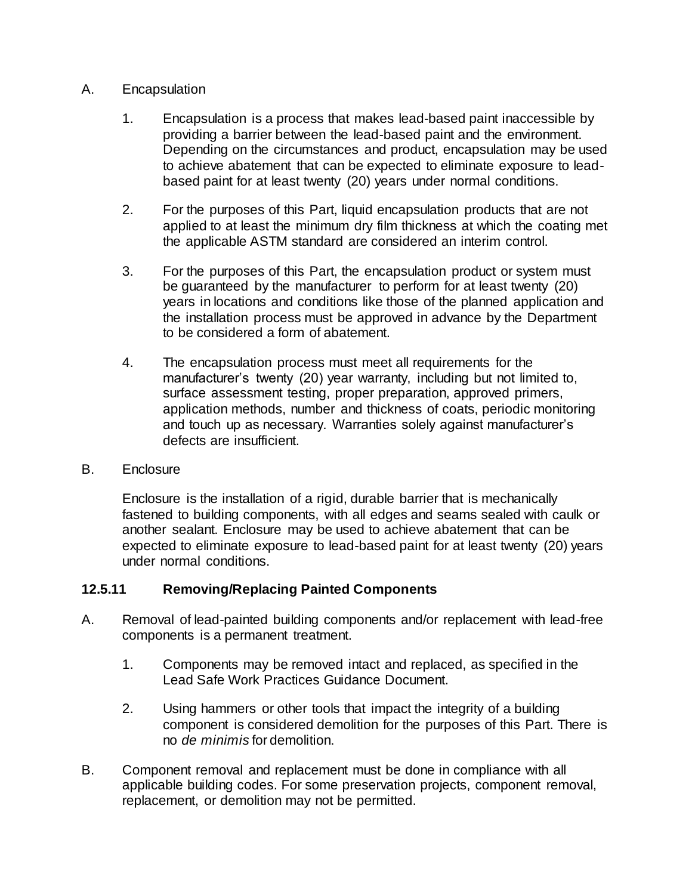#### A. Encapsulation

- 1. Encapsulation is a process that makes lead-based paint inaccessible by providing a barrier between the lead-based paint and the environment. Depending on the circumstances and product, encapsulation may be used to achieve abatement that can be expected to eliminate exposure to leadbased paint for at least twenty (20) years under normal conditions.
- 2. For the purposes of this Part, liquid encapsulation products that are not applied to at least the minimum dry film thickness at which the coating met the applicable ASTM standard are considered an interim control.
- 3. For the purposes of this Part, the encapsulation product or system must be guaranteed by the manufacturer to perform for at least twenty (20) years in locations and conditions like those of the planned application and the installation process must be approved in advance by the Department to be considered a form of abatement.
- 4. The encapsulation process must meet all requirements for the manufacturer's twenty (20) year warranty, including but not limited to, surface assessment testing, proper preparation, approved primers, application methods, number and thickness of coats, periodic monitoring and touch up as necessary. Warranties solely against manufacturer's defects are insufficient.

#### B. Enclosure

Enclosure is the installation of a rigid, durable barrier that is mechanically fastened to building components, with all edges and seams sealed with caulk or another sealant. Enclosure may be used to achieve abatement that can be expected to eliminate exposure to lead-based paint for at least twenty (20) years under normal conditions.

#### **12.5.11 Removing/Replacing Painted Components**

- A. Removal of lead-painted building components and/or replacement with lead-free components is a permanent treatment.
	- 1. Components may be removed intact and replaced, as specified in the Lead Safe Work Practices Guidance Document.
	- 2. Using hammers or other tools that impact the integrity of a building component is considered demolition for the purposes of this Part. There is no *de minimis* for demolition.
- B. Component removal and replacement must be done in compliance with all applicable building codes. For some preservation projects, component removal, replacement, or demolition may not be permitted.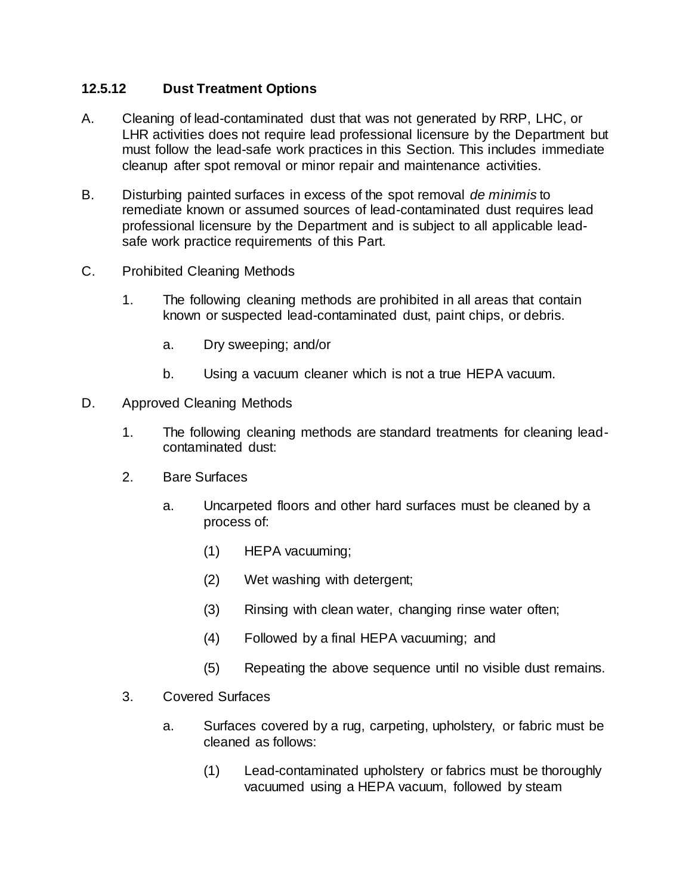#### **12.5.12 Dust Treatment Options**

- A. Cleaning of lead-contaminated dust that was not generated by RRP, LHC, or LHR activities does not require lead professional licensure by the Department but must follow the lead-safe work practices in this Section. This includes immediate cleanup after spot removal or minor repair and maintenance activities.
- B. Disturbing painted surfaces in excess of the spot removal *de minimis* to remediate known or assumed sources of lead-contaminated dust requires lead professional licensure by the Department and is subject to all applicable leadsafe work practice requirements of this Part.
- C. Prohibited Cleaning Methods
	- 1. The following cleaning methods are prohibited in all areas that contain known or suspected lead-contaminated dust, paint chips, or debris.
		- a. Dry sweeping; and/or
		- b. Using a vacuum cleaner which is not a true HEPA vacuum.
- D. Approved Cleaning Methods
	- 1. The following cleaning methods are standard treatments for cleaning leadcontaminated dust:
	- 2. Bare Surfaces
		- a. Uncarpeted floors and other hard surfaces must be cleaned by a process of:
			- (1) HEPA vacuuming;
			- (2) Wet washing with detergent;
			- (3) Rinsing with clean water, changing rinse water often;
			- (4) Followed by a final HEPA vacuuming; and
			- (5) Repeating the above sequence until no visible dust remains.
	- 3. Covered Surfaces
		- a. Surfaces covered by a rug, carpeting, upholstery, or fabric must be cleaned as follows:
			- (1) Lead-contaminated upholstery or fabrics must be thoroughly vacuumed using a HEPA vacuum, followed by steam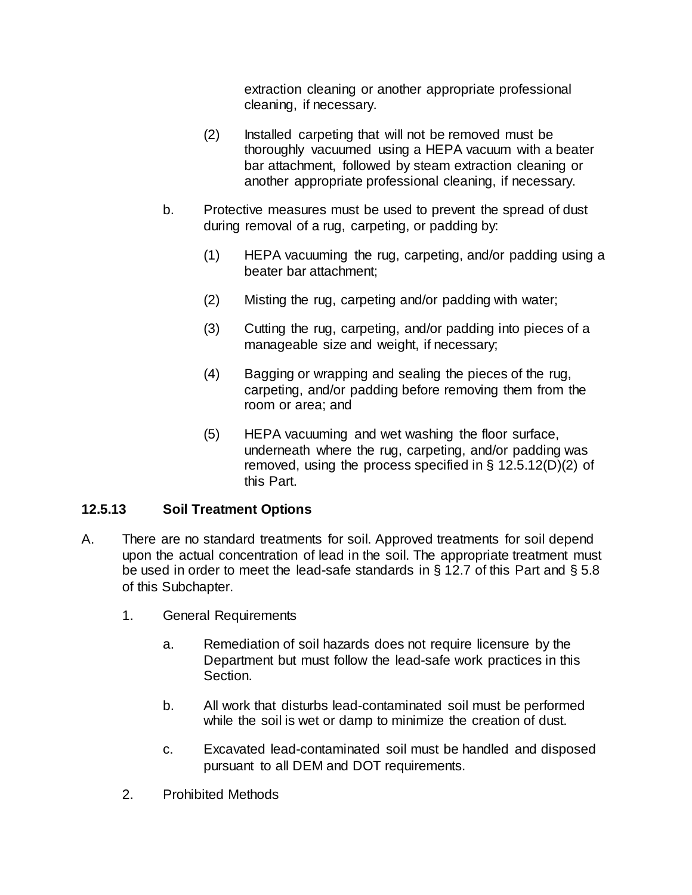extraction cleaning or another appropriate professional cleaning, if necessary.

- (2) Installed carpeting that will not be removed must be thoroughly vacuumed using a HEPA vacuum with a beater bar attachment, followed by steam extraction cleaning or another appropriate professional cleaning, if necessary.
- b. Protective measures must be used to prevent the spread of dust during removal of a rug, carpeting, or padding by:
	- (1) HEPA vacuuming the rug, carpeting, and/or padding using a beater bar attachment;
	- (2) Misting the rug, carpeting and/or padding with water;
	- (3) Cutting the rug, carpeting, and/or padding into pieces of a manageable size and weight, if necessary;
	- (4) Bagging or wrapping and sealing the pieces of the rug, carpeting, and/or padding before removing them from the room or area; and
	- (5) HEPA vacuuming and wet washing the floor surface, underneath where the rug, carpeting, and/or padding was removed, using the process specified in § 12.5.12(D)(2) of this Part.

#### **12.5.13 Soil Treatment Options**

- A. There are no standard treatments for soil. Approved treatments for soil depend upon the actual concentration of lead in the soil. The appropriate treatment must be used in order to meet the lead-safe standards in § 12.7 of this Part and § 5.8 of this Subchapter.
	- 1. General Requirements
		- a. Remediation of soil hazards does not require licensure by the Department but must follow the lead-safe work practices in this Section.
		- b. All work that disturbs lead-contaminated soil must be performed while the soil is wet or damp to minimize the creation of dust.
		- c. Excavated lead-contaminated soil must be handled and disposed pursuant to all DEM and DOT requirements.
	- 2. Prohibited Methods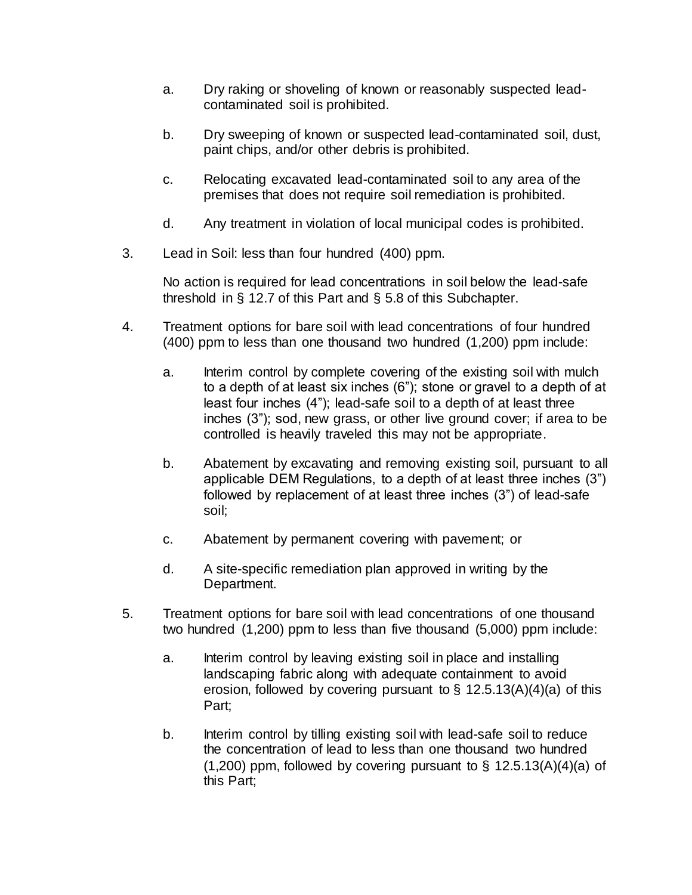- a. Dry raking or shoveling of known or reasonably suspected leadcontaminated soil is prohibited.
- b. Dry sweeping of known or suspected lead-contaminated soil, dust, paint chips, and/or other debris is prohibited.
- c. Relocating excavated lead-contaminated soil to any area of the premises that does not require soil remediation is prohibited.
- d. Any treatment in violation of local municipal codes is prohibited.
- 3. Lead in Soil: less than four hundred (400) ppm.

No action is required for lead concentrations in soil below the lead-safe threshold in § 12.7 of this Part and § 5.8 of this Subchapter.

- 4. Treatment options for bare soil with lead concentrations of four hundred (400) ppm to less than one thousand two hundred (1,200) ppm include:
	- a. Interim control by complete covering of the existing soil with mulch to a depth of at least six inches (6"); stone or gravel to a depth of at least four inches (4"); lead-safe soil to a depth of at least three inches (3"); sod, new grass, or other live ground cover; if area to be controlled is heavily traveled this may not be appropriate.
	- b. Abatement by excavating and removing existing soil, pursuant to all applicable DEM Regulations, to a depth of at least three inches (3") followed by replacement of at least three inches (3") of lead-safe soil;
	- c. Abatement by permanent covering with pavement; or
	- d. A site-specific remediation plan approved in writing by the Department.
- 5. Treatment options for bare soil with lead concentrations of one thousand two hundred (1,200) ppm to less than five thousand (5,000) ppm include:
	- a. Interim control by leaving existing soil in place and installing landscaping fabric along with adequate containment to avoid erosion, followed by covering pursuant to  $\S$  12.5.13(A)(4)(a) of this Part;
	- b. Interim control by tilling existing soil with lead-safe soil to reduce the concentration of lead to less than one thousand two hundred  $(1,200)$  ppm, followed by covering pursuant to § 12.5.13(A)(4)(a) of this Part;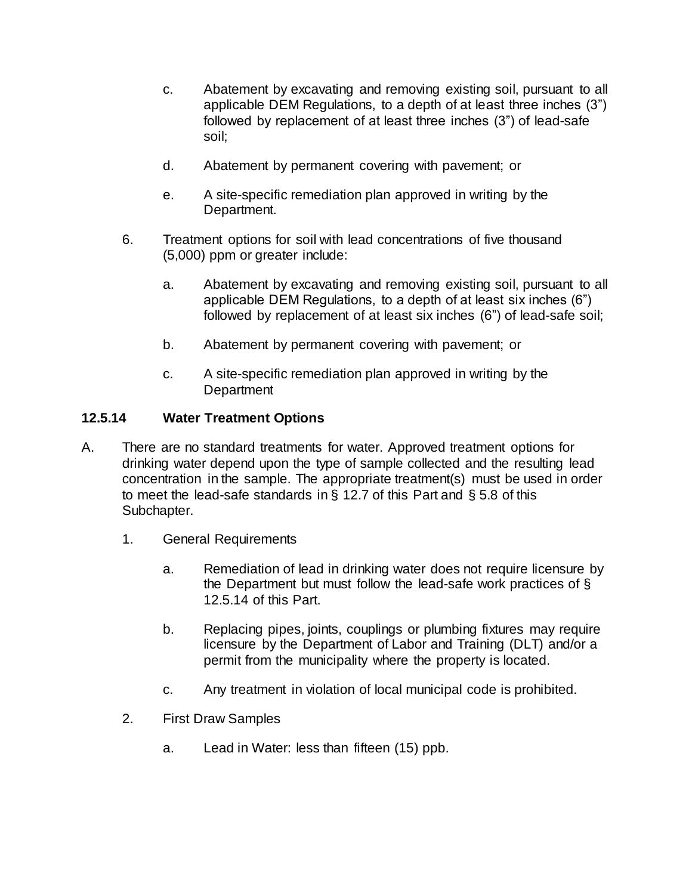- c. Abatement by excavating and removing existing soil, pursuant to all applicable DEM Regulations, to a depth of at least three inches (3") followed by replacement of at least three inches (3") of lead-safe soil;
- d. Abatement by permanent covering with pavement; or
- e. A site-specific remediation plan approved in writing by the Department.
- 6. Treatment options for soil with lead concentrations of five thousand (5,000) ppm or greater include:
	- a. Abatement by excavating and removing existing soil, pursuant to all applicable DEM Regulations, to a depth of at least six inches (6") followed by replacement of at least six inches (6") of lead-safe soil;
	- b. Abatement by permanent covering with pavement; or
	- c. A site-specific remediation plan approved in writing by the **Department**

#### **12.5.14 Water Treatment Options**

- A. There are no standard treatments for water. Approved treatment options for drinking water depend upon the type of sample collected and the resulting lead concentration in the sample. The appropriate treatment(s) must be used in order to meet the lead-safe standards in § 12.7 of this Part and § 5.8 of this Subchapter.
	- 1. General Requirements
		- a. Remediation of lead in drinking water does not require licensure by the Department but must follow the lead-safe work practices of § 12.5.14 of this Part.
		- b. Replacing pipes, joints, couplings or plumbing fixtures may require licensure by the Department of Labor and Training (DLT) and/or a permit from the municipality where the property is located.
		- c. Any treatment in violation of local municipal code is prohibited.
	- 2. First Draw Samples
		- a. Lead in Water: less than fifteen (15) ppb.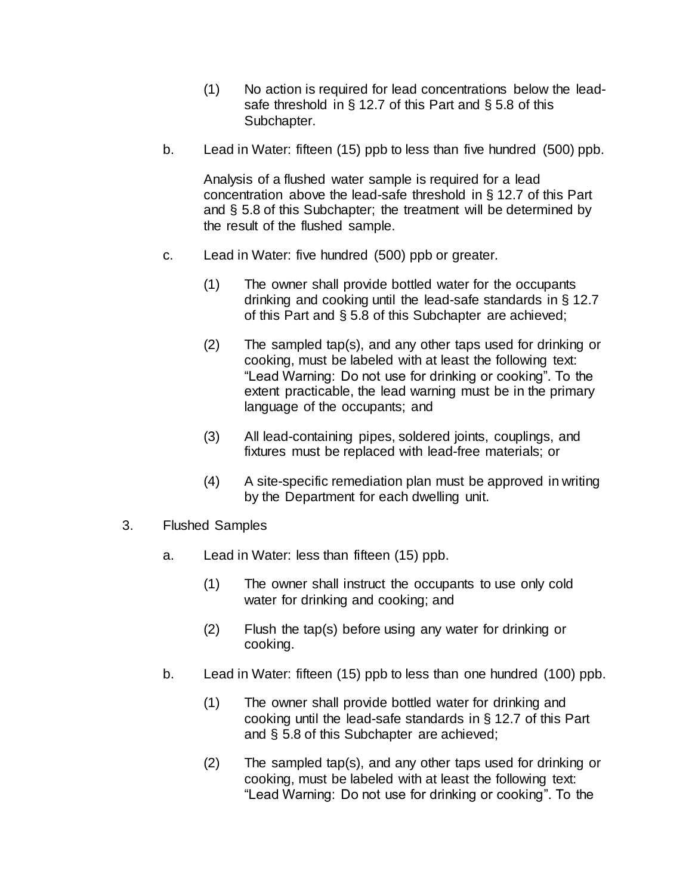- (1) No action is required for lead concentrations below the leadsafe threshold in  $\S 12.7$  of this Part and  $\S 5.8$  of this Subchapter.
- b. Lead in Water: fifteen (15) ppb to less than five hundred (500) ppb.

Analysis of a flushed water sample is required for a lead concentration above the lead-safe threshold in § 12.7 of this Part and § 5.8 of this Subchapter; the treatment will be determined by the result of the flushed sample.

- c. Lead in Water: five hundred (500) ppb or greater.
	- (1) The owner shall provide bottled water for the occupants drinking and cooking until the lead-safe standards in § 12.7 of this Part and § 5.8 of this Subchapter are achieved;
	- (2) The sampled tap(s), and any other taps used for drinking or cooking, must be labeled with at least the following text: "Lead Warning: Do not use for drinking or cooking". To the extent practicable, the lead warning must be in the primary language of the occupants; and
	- (3) All lead-containing pipes, soldered joints, couplings, and fixtures must be replaced with lead-free materials; or
	- (4) A site-specific remediation plan must be approved in writing by the Department for each dwelling unit.
- 3. Flushed Samples
	- a. Lead in Water: less than fifteen (15) ppb.
		- (1) The owner shall instruct the occupants to use only cold water for drinking and cooking; and
		- (2) Flush the tap(s) before using any water for drinking or cooking.
	- b. Lead in Water: fifteen (15) ppb to less than one hundred (100) ppb.
		- (1) The owner shall provide bottled water for drinking and cooking until the lead-safe standards in § 12.7 of this Part and § 5.8 of this Subchapter are achieved;
		- (2) The sampled tap(s), and any other taps used for drinking or cooking, must be labeled with at least the following text: "Lead Warning: Do not use for drinking or cooking". To the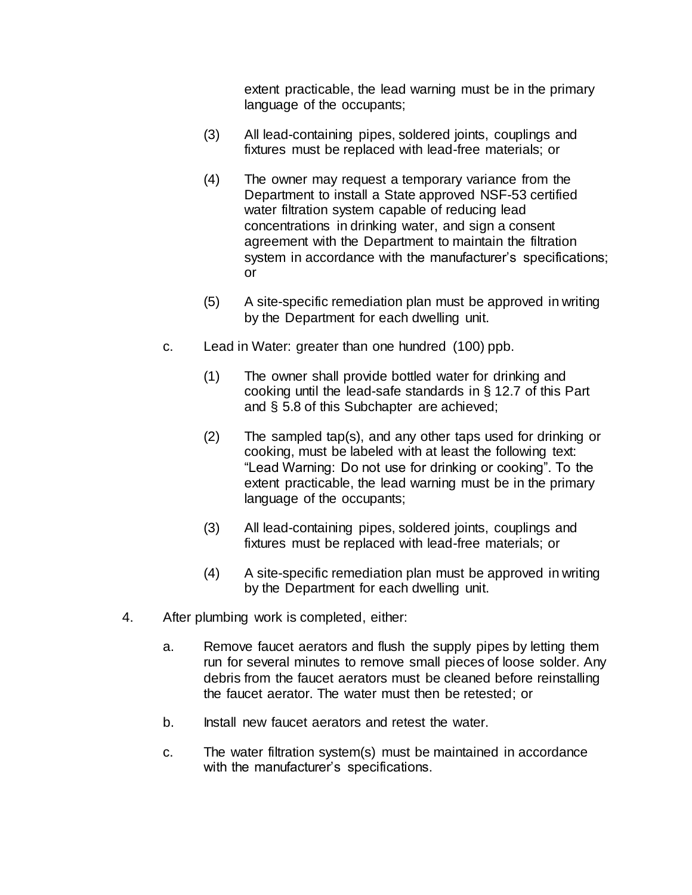extent practicable, the lead warning must be in the primary language of the occupants;

- (3) All lead-containing pipes, soldered joints, couplings and fixtures must be replaced with lead-free materials; or
- (4) The owner may request a temporary variance from the Department to install a State approved NSF-53 certified water filtration system capable of reducing lead concentrations in drinking water, and sign a consent agreement with the Department to maintain the filtration system in accordance with the manufacturer's specifications; or
- (5) A site-specific remediation plan must be approved in writing by the Department for each dwelling unit.
- c. Lead in Water: greater than one hundred (100) ppb.
	- (1) The owner shall provide bottled water for drinking and cooking until the lead-safe standards in § 12.7 of this Part and § 5.8 of this Subchapter are achieved;
	- (2) The sampled tap(s), and any other taps used for drinking or cooking, must be labeled with at least the following text: "Lead Warning: Do not use for drinking or cooking". To the extent practicable, the lead warning must be in the primary language of the occupants;
	- (3) All lead-containing pipes, soldered joints, couplings and fixtures must be replaced with lead-free materials; or
	- (4) A site-specific remediation plan must be approved in writing by the Department for each dwelling unit.
- 4. After plumbing work is completed, either:
	- a. Remove faucet aerators and flush the supply pipes by letting them run for several minutes to remove small pieces of loose solder. Any debris from the faucet aerators must be cleaned before reinstalling the faucet aerator. The water must then be retested; or
	- b. Install new faucet aerators and retest the water.
	- c. The water filtration system(s) must be maintained in accordance with the manufacturer's specifications.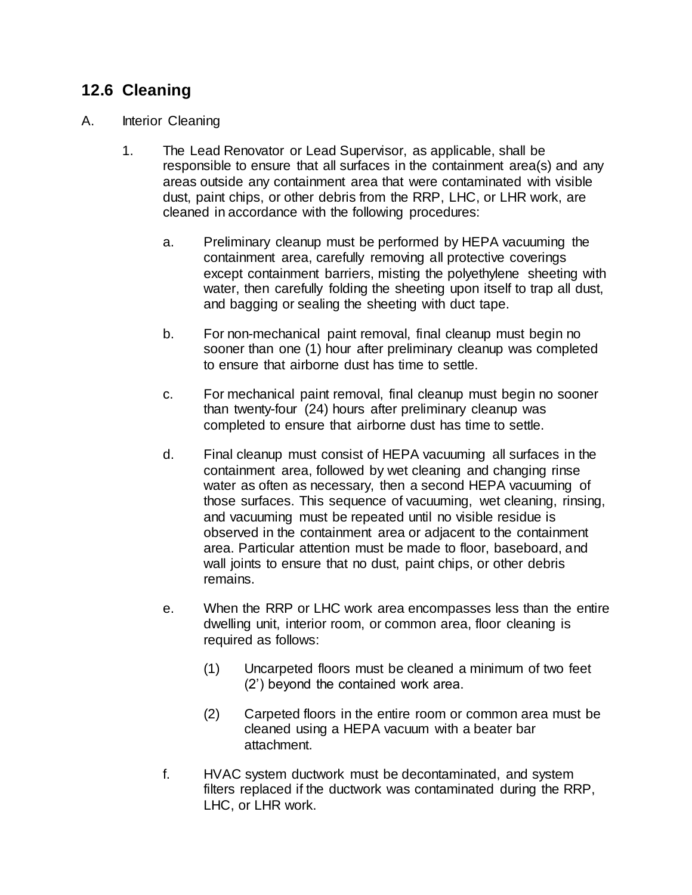## **12.6 Cleaning**

#### A. Interior Cleaning

- 1. The Lead Renovator or Lead Supervisor, as applicable, shall be responsible to ensure that all surfaces in the containment area(s) and any areas outside any containment area that were contaminated with visible dust, paint chips, or other debris from the RRP, LHC, or LHR work, are cleaned in accordance with the following procedures:
	- a. Preliminary cleanup must be performed by HEPA vacuuming the containment area, carefully removing all protective coverings except containment barriers, misting the polyethylene sheeting with water, then carefully folding the sheeting upon itself to trap all dust, and bagging or sealing the sheeting with duct tape.
	- b. For non-mechanical paint removal, final cleanup must begin no sooner than one (1) hour after preliminary cleanup was completed to ensure that airborne dust has time to settle.
	- c. For mechanical paint removal, final cleanup must begin no sooner than twenty-four (24) hours after preliminary cleanup was completed to ensure that airborne dust has time to settle.
	- d. Final cleanup must consist of HEPA vacuuming all surfaces in the containment area, followed by wet cleaning and changing rinse water as often as necessary, then a second HEPA vacuuming of those surfaces. This sequence of vacuuming, wet cleaning, rinsing, and vacuuming must be repeated until no visible residue is observed in the containment area or adjacent to the containment area. Particular attention must be made to floor, baseboard, and wall joints to ensure that no dust, paint chips, or other debris remains.
	- e. When the RRP or LHC work area encompasses less than the entire dwelling unit, interior room, or common area, floor cleaning is required as follows:
		- (1) Uncarpeted floors must be cleaned a minimum of two feet (2') beyond the contained work area.
		- (2) Carpeted floors in the entire room or common area must be cleaned using a HEPA vacuum with a beater bar attachment.
	- f. HVAC system ductwork must be decontaminated, and system filters replaced if the ductwork was contaminated during the RRP, LHC, or LHR work.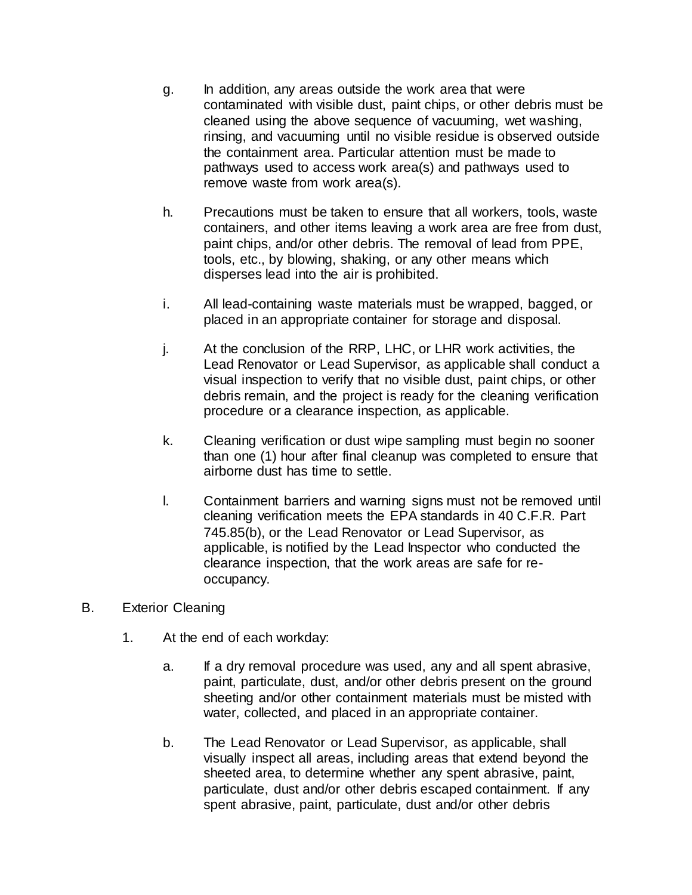- g. In addition, any areas outside the work area that were contaminated with visible dust, paint chips, or other debris must be cleaned using the above sequence of vacuuming, wet washing, rinsing, and vacuuming until no visible residue is observed outside the containment area. Particular attention must be made to pathways used to access work area(s) and pathways used to remove waste from work area(s).
- h. Precautions must be taken to ensure that all workers, tools, waste containers, and other items leaving a work area are free from dust, paint chips, and/or other debris. The removal of lead from PPE, tools, etc., by blowing, shaking, or any other means which disperses lead into the air is prohibited.
- i. All lead-containing waste materials must be wrapped, bagged, or placed in an appropriate container for storage and disposal.
- j. At the conclusion of the RRP, LHC, or LHR work activities, the Lead Renovator or Lead Supervisor, as applicable shall conduct a visual inspection to verify that no visible dust, paint chips, or other debris remain, and the project is ready for the cleaning verification procedure or a clearance inspection, as applicable.
- k. Cleaning verification or dust wipe sampling must begin no sooner than one (1) hour after final cleanup was completed to ensure that airborne dust has time to settle.
- l. Containment barriers and warning signs must not be removed until cleaning verification meets the EPA standards in 40 C.F.R. Part 745.85(b), or the Lead Renovator or Lead Supervisor, as applicable, is notified by the Lead Inspector who conducted the clearance inspection, that the work areas are safe for reoccupancy.
- B. Exterior Cleaning
	- 1. At the end of each workday:
		- a. If a dry removal procedure was used, any and all spent abrasive, paint, particulate, dust, and/or other debris present on the ground sheeting and/or other containment materials must be misted with water, collected, and placed in an appropriate container.
		- b. The Lead Renovator or Lead Supervisor, as applicable, shall visually inspect all areas, including areas that extend beyond the sheeted area, to determine whether any spent abrasive, paint, particulate, dust and/or other debris escaped containment. If any spent abrasive, paint, particulate, dust and/or other debris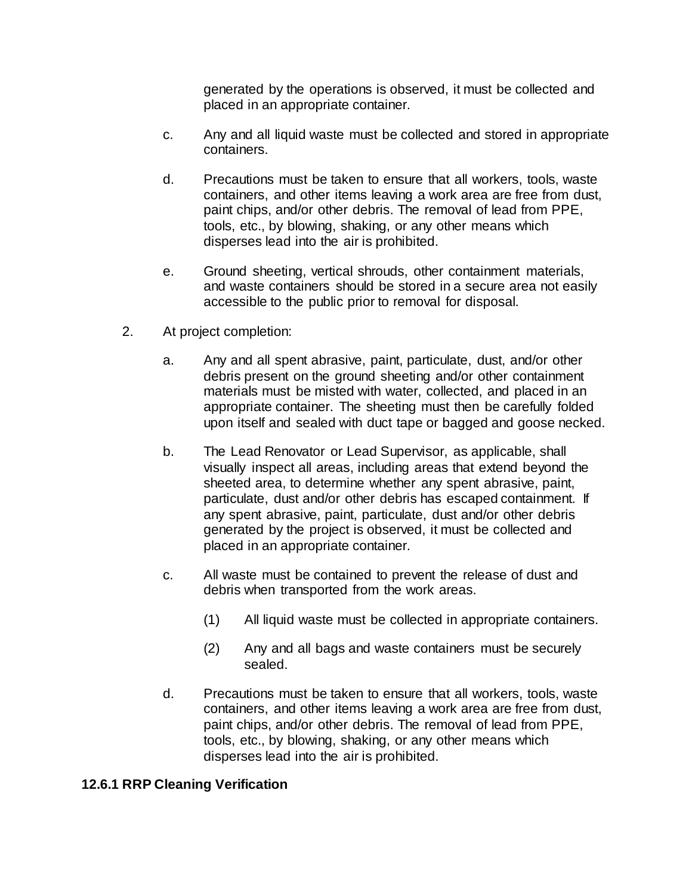generated by the operations is observed, it must be collected and placed in an appropriate container.

- c. Any and all liquid waste must be collected and stored in appropriate containers.
- d. Precautions must be taken to ensure that all workers, tools, waste containers, and other items leaving a work area are free from dust, paint chips, and/or other debris. The removal of lead from PPE, tools, etc., by blowing, shaking, or any other means which disperses lead into the air is prohibited.
- e. Ground sheeting, vertical shrouds, other containment materials, and waste containers should be stored in a secure area not easily accessible to the public prior to removal for disposal.
- 2. At project completion:
	- a. Any and all spent abrasive, paint, particulate, dust, and/or other debris present on the ground sheeting and/or other containment materials must be misted with water, collected, and placed in an appropriate container. The sheeting must then be carefully folded upon itself and sealed with duct tape or bagged and goose necked.
	- b. The Lead Renovator or Lead Supervisor, as applicable, shall visually inspect all areas, including areas that extend beyond the sheeted area, to determine whether any spent abrasive, paint, particulate, dust and/or other debris has escaped containment. If any spent abrasive, paint, particulate, dust and/or other debris generated by the project is observed, it must be collected and placed in an appropriate container.
	- c. All waste must be contained to prevent the release of dust and debris when transported from the work areas.
		- (1) All liquid waste must be collected in appropriate containers.
		- (2) Any and all bags and waste containers must be securely sealed.
	- d. Precautions must be taken to ensure that all workers, tools, waste containers, and other items leaving a work area are free from dust, paint chips, and/or other debris. The removal of lead from PPE, tools, etc., by blowing, shaking, or any other means which disperses lead into the air is prohibited.

#### **12.6.1 RRP Cleaning Verification**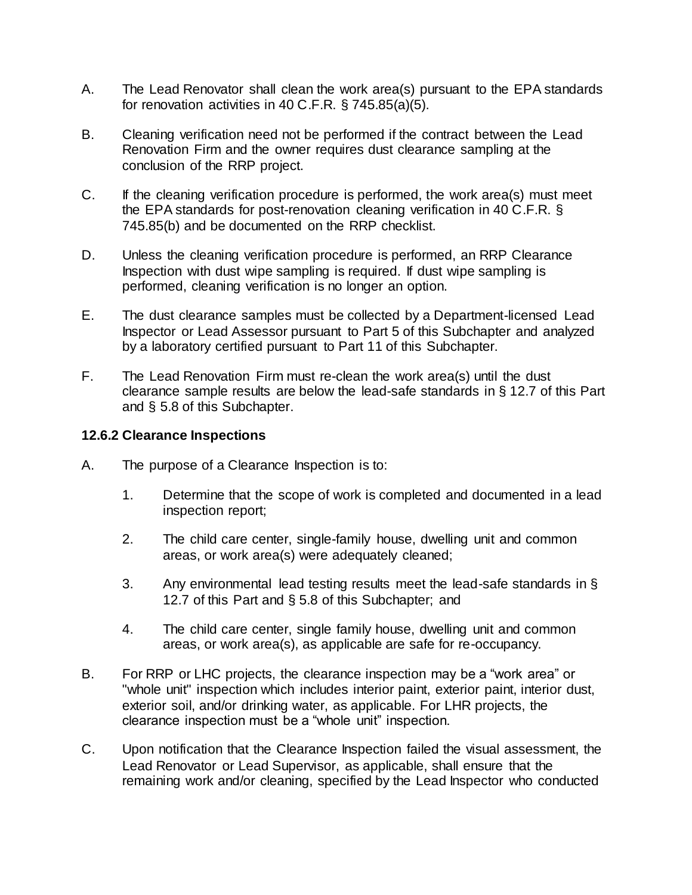- A. The Lead Renovator shall clean the work area(s) pursuant to the EPA standards for renovation activities in 40 C.F.R. § 745.85(a)(5).
- B. Cleaning verification need not be performed if the contract between the Lead Renovation Firm and the owner requires dust clearance sampling at the conclusion of the RRP project.
- C. If the cleaning verification procedure is performed, the work area(s) must meet the EPA standards for post-renovation cleaning verification in 40 C.F.R. § 745.85(b) and be documented on the RRP checklist.
- D. Unless the cleaning verification procedure is performed, an RRP Clearance Inspection with dust wipe sampling is required. If dust wipe sampling is performed, cleaning verification is no longer an option.
- E. The dust clearance samples must be collected by a Department-licensed Lead Inspector or Lead Assessor pursuant to Part 5 of this Subchapter and analyzed by a laboratory certified pursuant to Part 11 of this Subchapter.
- F. The Lead Renovation Firm must re-clean the work area(s) until the dust clearance sample results are below the lead-safe standards in § 12.7 of this Part and § 5.8 of this Subchapter.

#### **12.6.2 Clearance Inspections**

- A. The purpose of a Clearance Inspection is to:
	- 1. Determine that the scope of work is completed and documented in a lead inspection report;
	- 2. The child care center, single-family house, dwelling unit and common areas, or work area(s) were adequately cleaned;
	- 3. Any environmental lead testing results meet the lead-safe standards in § 12.7 of this Part and § 5.8 of this Subchapter; and
	- 4. The child care center, single family house, dwelling unit and common areas, or work area(s), as applicable are safe for re-occupancy.
- B. For RRP or LHC projects, the clearance inspection may be a "work area" or "whole unit" inspection which includes interior paint, exterior paint, interior dust, exterior soil, and/or drinking water, as applicable. For LHR projects, the clearance inspection must be a "whole unit" inspection.
- C. Upon notification that the Clearance Inspection failed the visual assessment, the Lead Renovator or Lead Supervisor, as applicable, shall ensure that the remaining work and/or cleaning, specified by the Lead Inspector who conducted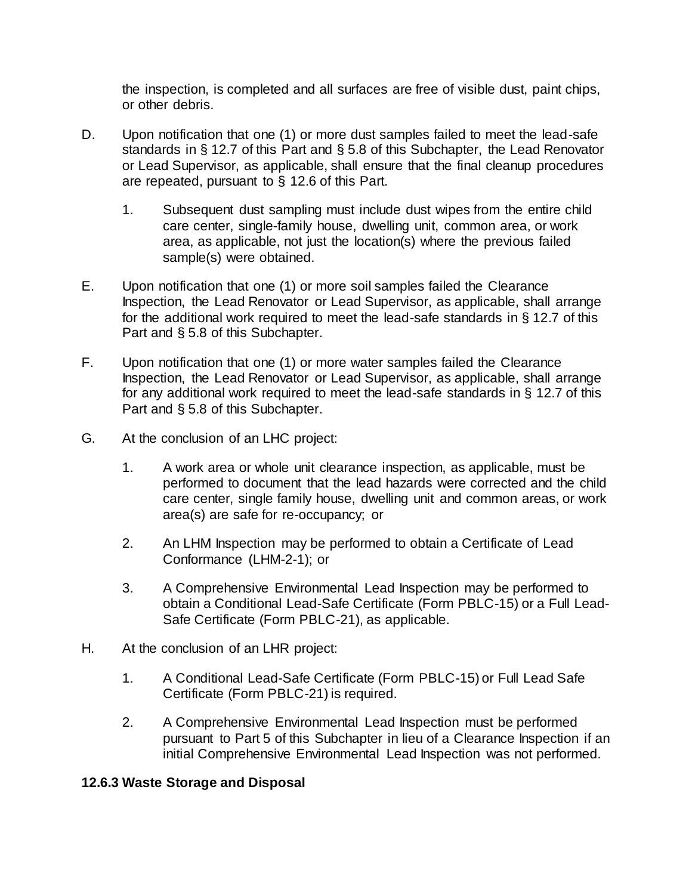the inspection, is completed and all surfaces are free of visible dust, paint chips, or other debris.

- D. Upon notification that one (1) or more dust samples failed to meet the lead-safe standards in § 12.7 of this Part and § 5.8 of this Subchapter, the Lead Renovator or Lead Supervisor, as applicable, shall ensure that the final cleanup procedures are repeated, pursuant to § 12.6 of this Part.
	- 1. Subsequent dust sampling must include dust wipes from the entire child care center, single-family house, dwelling unit, common area, or work area, as applicable, not just the location(s) where the previous failed sample(s) were obtained.
- E. Upon notification that one (1) or more soil samples failed the Clearance Inspection, the Lead Renovator or Lead Supervisor, as applicable, shall arrange for the additional work required to meet the lead-safe standards in § 12.7 of this Part and § 5.8 of this Subchapter.
- F. Upon notification that one (1) or more water samples failed the Clearance Inspection, the Lead Renovator or Lead Supervisor, as applicable, shall arrange for any additional work required to meet the lead-safe standards in § 12.7 of this Part and § 5.8 of this Subchapter.
- G. At the conclusion of an LHC project:
	- 1. A work area or whole unit clearance inspection, as applicable, must be performed to document that the lead hazards were corrected and the child care center, single family house, dwelling unit and common areas, or work area(s) are safe for re-occupancy; or
	- 2. An LHM Inspection may be performed to obtain a Certificate of Lead Conformance (LHM-2-1); or
	- 3. A Comprehensive Environmental Lead Inspection may be performed to obtain a Conditional Lead-Safe Certificate (Form PBLC-15) or a Full Lead-Safe Certificate (Form PBLC-21), as applicable.
- H. At the conclusion of an LHR project:
	- 1. A Conditional Lead-Safe Certificate (Form PBLC-15) or Full Lead Safe Certificate (Form PBLC-21) is required.
	- 2. A Comprehensive Environmental Lead Inspection must be performed pursuant to Part 5 of this Subchapter in lieu of a Clearance Inspection if an initial Comprehensive Environmental Lead Inspection was not performed.

#### **12.6.3 Waste Storage and Disposal**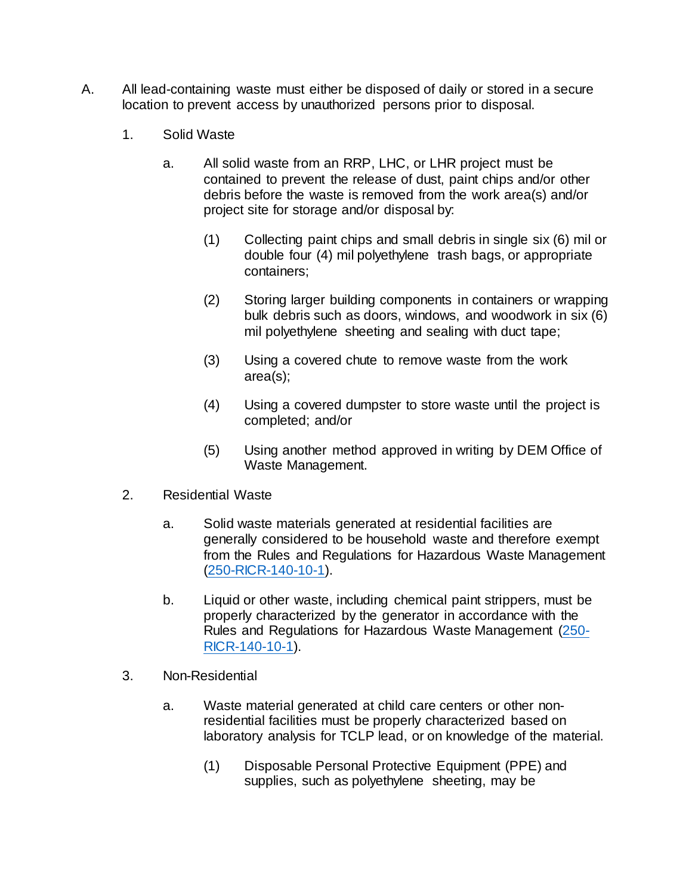- A. All lead-containing waste must either be disposed of daily or stored in a secure location to prevent access by unauthorized persons prior to disposal.
	- 1. Solid Waste
		- a. All solid waste from an RRP, LHC, or LHR project must be contained to prevent the release of dust, paint chips and/or other debris before the waste is removed from the work area(s) and/or project site for storage and/or disposal by:
			- (1) Collecting paint chips and small debris in single six (6) mil or double four (4) mil polyethylene trash bags, or appropriate containers;
			- (2) Storing larger building components in containers or wrapping bulk debris such as doors, windows, and woodwork in six (6) mil polyethylene sheeting and sealing with duct tape;
			- (3) Using a covered chute to remove waste from the work area(s);
			- (4) Using a covered dumpster to store waste until the project is completed; and/or
			- (5) Using another method approved in writing by DEM Office of Waste Management.
	- 2. Residential Waste
		- a. Solid waste materials generated at residential facilities are generally considered to be household waste and therefore exempt from the Rules and Regulations for Hazardous Waste Management [\(250-RICR-140-10-1\).](https://rules.sos.ri.gov/regulations/part/250-140-10-1)
		- b. Liquid or other waste, including chemical paint strippers, must be properly characterized by the generator in accordance with the Rules and Regulations for Hazardous Waste Management [\(250-](https://rules.sos.ri.gov/regulations/part/250-140-10-1) [RICR-140-10-1\).](https://rules.sos.ri.gov/regulations/part/250-140-10-1)
	- 3. Non-Residential
		- a. Waste material generated at child care centers or other nonresidential facilities must be properly characterized based on laboratory analysis for TCLP lead, or on knowledge of the material.
			- (1) Disposable Personal Protective Equipment (PPE) and supplies, such as polyethylene sheeting, may be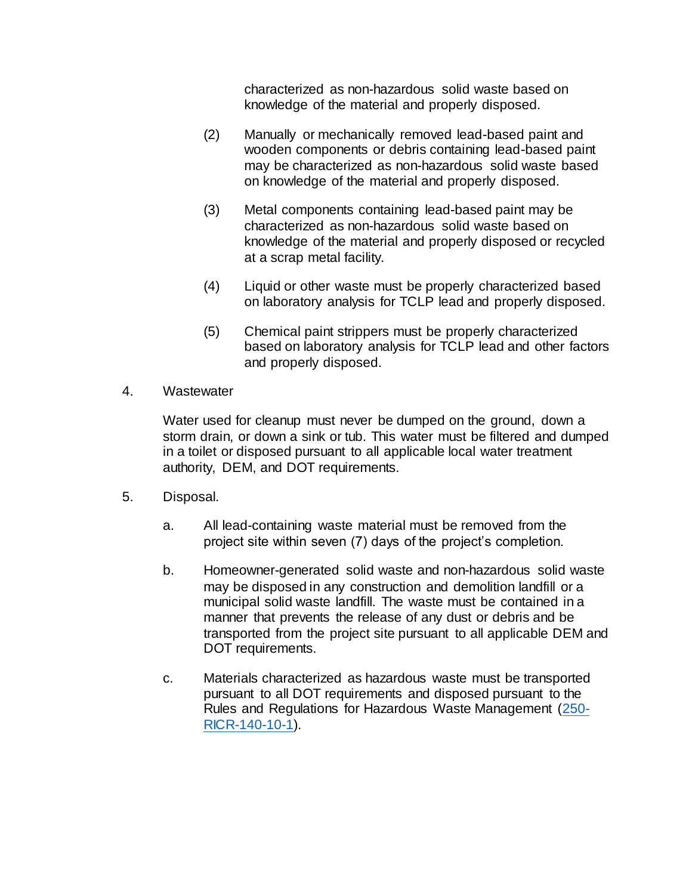characterized as non-hazardous solid waste based on knowledge of the material and properly disposed.

- (2) Manually or mechanically removed lead-based paint and wooden components or debris containing lead-based paint may be characterized as non-hazardous solid waste based on knowledge of the material and properly disposed.
- (3) Metal components containing lead-based paint may be characterized as non-hazardous solid waste based on knowledge of the material and properly disposed or recycled at a scrap metal facility.
- (4) Liquid or other waste must be properly characterized based on laboratory analysis for TCLP lead and properly disposed.
- (5) Chemical paint strippers must be properly characterized based on laboratory analysis for TCLP lead and other factors and properly disposed.
- 4. Wastewater

Water used for cleanup must never be dumped on the ground, down a storm drain, or down a sink or tub. This water must be filtered and dumped in a toilet or disposed pursuant to all applicable local water treatment authority, DEM, and DOT requirements.

- 5. Disposal.
	- a. All lead-containing waste material must be removed from the project site within seven (7) days of the project's completion.
	- b. Homeowner-generated solid waste and non-hazardous solid waste may be disposed in any construction and demolition landfill or a municipal solid waste landfill. The waste must be contained in a manner that prevents the release of any dust or debris and be transported from the project site pursuant to all applicable DEM and DOT requirements.
	- c. Materials characterized as hazardous waste must be transported pursuant to all DOT requirements and disposed pursuant to the Rules and Regulations for Hazardous Waste Management [\(250-](https://rules.sos.ri.gov/regulations/part/250-140-10-1) [RICR-140-10-1\).](https://rules.sos.ri.gov/regulations/part/250-140-10-1)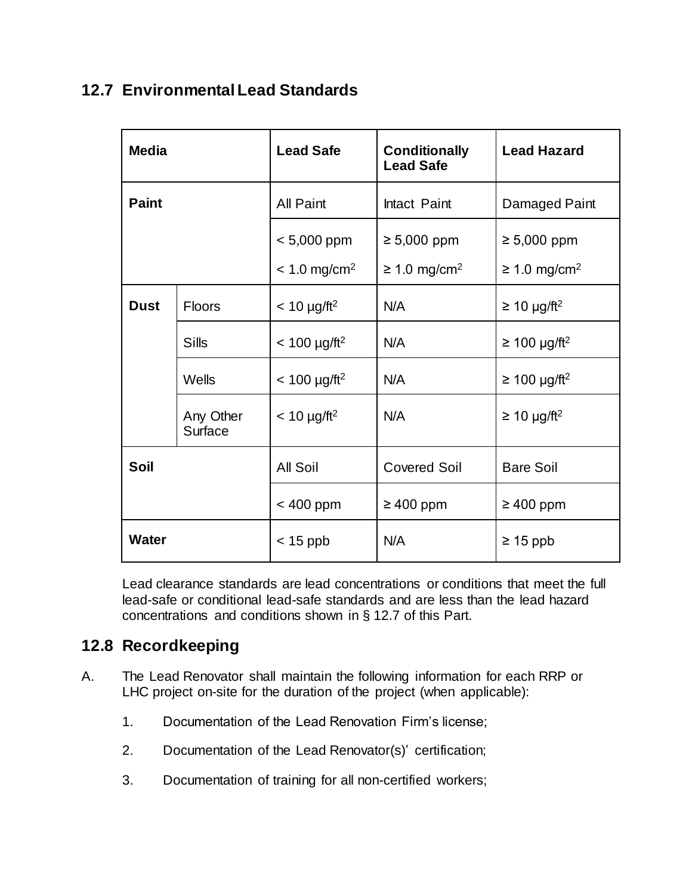## **12.7 Environmental Lead Standards**

| <b>Media</b> |                      | <b>Lead Safe</b>                            | <b>Conditionally</b><br><b>Lead Safe</b>          | <b>Lead Hazard</b>                                |
|--------------|----------------------|---------------------------------------------|---------------------------------------------------|---------------------------------------------------|
| <b>Paint</b> |                      | <b>All Paint</b>                            | Intact Paint                                      | Damaged Paint                                     |
|              |                      | $< 5,000$ ppm<br>$< 1.0$ mg/cm <sup>2</sup> | $\geq 5,000$ ppm<br>$\geq 1.0$ mg/cm <sup>2</sup> | $\geq 5,000$ ppm<br>$\geq$ 1.0 mg/cm <sup>2</sup> |
| <b>Dust</b>  | Floors               | $< 10 \mu g / \text{ft}^2$                  | N/A                                               | $\geq$ 10 µg/ft <sup>2</sup>                      |
|              | <b>Sills</b>         | $< 100 \mu g / \text{ft}^2$                 | N/A                                               | $≥ 100 \mu g/ft^2$                                |
|              | Wells                | $< 100 \mu g / \text{ft}^2$                 | N/A                                               | $\geq$ 100 µg/ft <sup>2</sup>                     |
|              | Any Other<br>Surface | $< 10 \mu g / \text{ft}^2$                  | N/A                                               | $\geq$ 10 µg/ft <sup>2</sup>                      |
| Soil         |                      | <b>All Soil</b>                             | <b>Covered Soil</b>                               | <b>Bare Soil</b>                                  |
|              |                      | < 400 ppm                                   | $\geq 400$ ppm                                    | $\geq 400$ ppm                                    |
| <b>Water</b> |                      | $<$ 15 ppb                                  | N/A                                               | $\geq 15$ ppb                                     |

Lead clearance standards are lead concentrations or conditions that meet the full lead-safe or conditional lead-safe standards and are less than the lead hazard concentrations and conditions shown in § 12.7 of this Part.

## **12.8 Recordkeeping**

- A. The Lead Renovator shall maintain the following information for each RRP or LHC project on-site for the duration of the project (when applicable):
	- 1. Documentation of the Lead Renovation Firm's license;
	- 2. Documentation of the Lead Renovator(s)' certification;
	- 3. Documentation of training for all non-certified workers;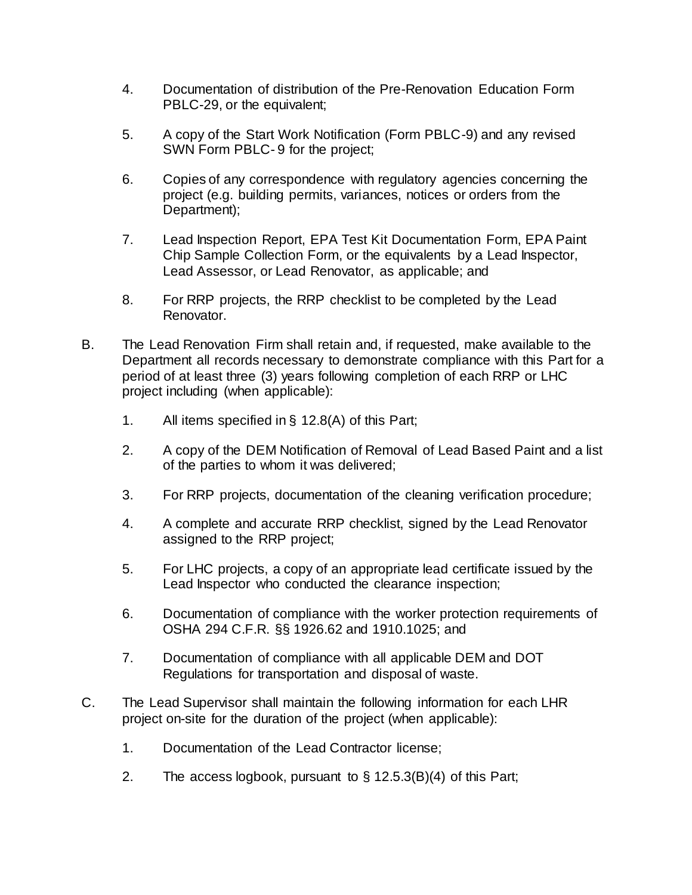- 4. Documentation of distribution of the Pre-Renovation Education Form PBLC-29, or the equivalent;
- 5. A copy of the Start Work Notification (Form PBLC-9) and any revised SWN Form PBLC- 9 for the project;
- 6. Copies of any correspondence with regulatory agencies concerning the project (e.g. building permits, variances, notices or orders from the Department);
- 7. Lead Inspection Report, EPA Test Kit Documentation Form, EPA Paint Chip Sample Collection Form, or the equivalents by a Lead Inspector, Lead Assessor, or Lead Renovator, as applicable; and
- 8. For RRP projects, the RRP checklist to be completed by the Lead Renovator.
- B. The Lead Renovation Firm shall retain and, if requested, make available to the Department all records necessary to demonstrate compliance with this Part for a period of at least three (3) years following completion of each RRP or LHC project including (when applicable):
	- 1. All items specified in § 12.8(A) of this Part;
	- 2. A copy of the DEM Notification of Removal of Lead Based Paint and a list of the parties to whom it was delivered;
	- 3. For RRP projects, documentation of the cleaning verification procedure;
	- 4. A complete and accurate RRP checklist, signed by the Lead Renovator assigned to the RRP project;
	- 5. For LHC projects, a copy of an appropriate lead certificate issued by the Lead Inspector who conducted the clearance inspection;
	- 6. Documentation of compliance with the worker protection requirements of OSHA 294 C.F.R. §§ 1926.62 and 1910.1025; and
	- 7. Documentation of compliance with all applicable DEM and DOT Regulations for transportation and disposal of waste.
- C. The Lead Supervisor shall maintain the following information for each LHR project on-site for the duration of the project (when applicable):
	- 1. Documentation of the Lead Contractor license;
	- 2. The access logbook, pursuant to § 12.5.3(B)(4) of this Part;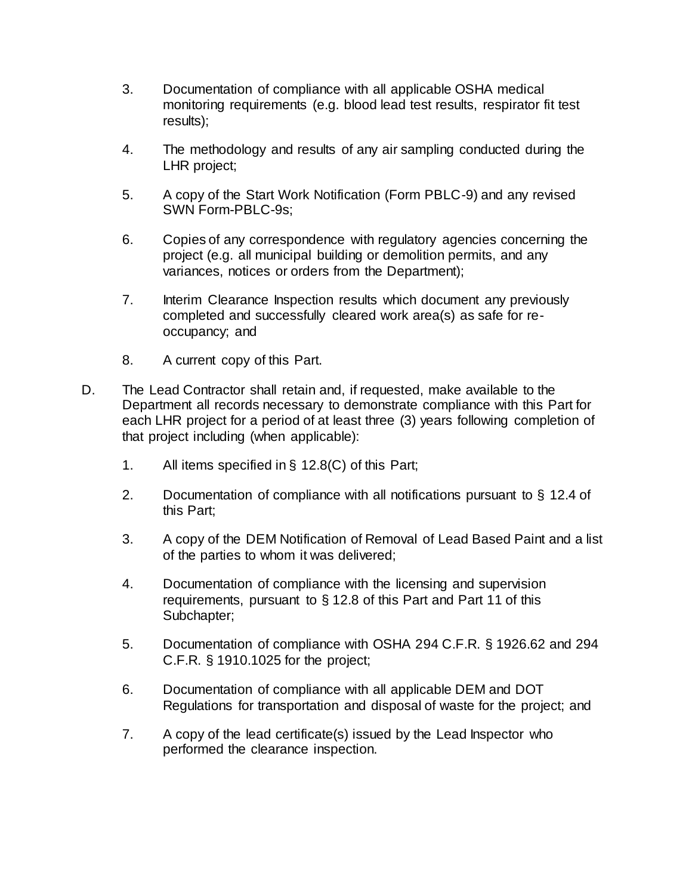- 3. Documentation of compliance with all applicable OSHA medical monitoring requirements (e.g. blood lead test results, respirator fit test results);
- 4. The methodology and results of any air sampling conducted during the LHR project;
- 5. A copy of the Start Work Notification (Form PBLC-9) and any revised SWN Form-PBLC-9s;
- 6. Copies of any correspondence with regulatory agencies concerning the project (e.g. all municipal building or demolition permits, and any variances, notices or orders from the Department);
- 7. Interim Clearance Inspection results which document any previously completed and successfully cleared work area(s) as safe for reoccupancy; and
- 8. A current copy of this Part.
- D. The Lead Contractor shall retain and, if requested, make available to the Department all records necessary to demonstrate compliance with this Part for each LHR project for a period of at least three (3) years following completion of that project including (when applicable):
	- 1. All items specified in § 12.8(C) of this Part;
	- 2. Documentation of compliance with all notifications pursuant to § 12.4 of this Part;
	- 3. A copy of the DEM Notification of Removal of Lead Based Paint and a list of the parties to whom it was delivered;
	- 4. Documentation of compliance with the licensing and supervision requirements, pursuant to § 12.8 of this Part and Part 11 of this Subchapter;
	- 5. Documentation of compliance with OSHA 294 C.F.R. § 1926.62 and 294 C.F.R. § 1910.1025 for the project;
	- 6. Documentation of compliance with all applicable DEM and DOT Regulations for transportation and disposal of waste for the project; and
	- 7. A copy of the lead certificate(s) issued by the Lead Inspector who performed the clearance inspection.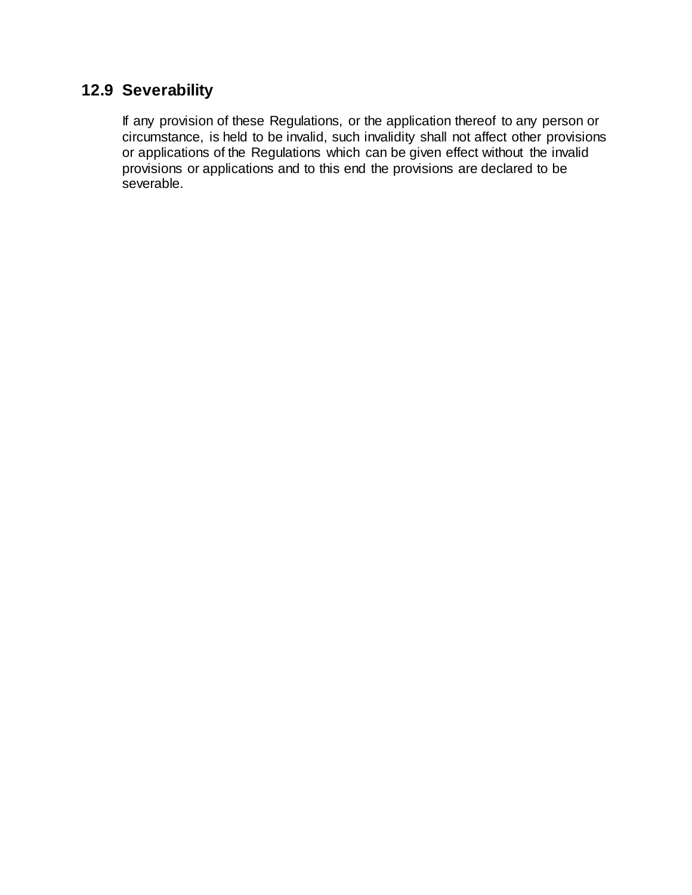# **12.9 Severability**

If any provision of these Regulations, or the application thereof to any person or circumstance, is held to be invalid, such invalidity shall not affect other provisions or applications of the Regulations which can be given effect without the invalid provisions or applications and to this end the provisions are declared to be severable.